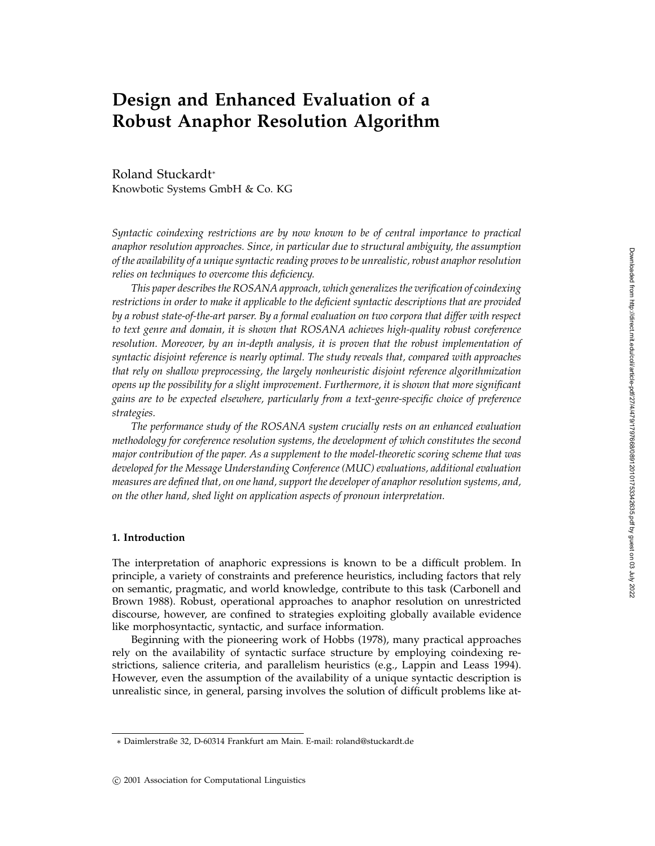# **Design and Enhanced Evaluation of a Robust Anaphor Resolution Algorithm**

Roland Stuckardt<sup>∗</sup> Knowbotic Systems GmbH & Co. KG

*Syntactic coindexing restrictions are by now known to be of central importance to practical anaphor resolution approaches. Since, in particular due to structural ambiguity, the assumption of the availability of a unique syntactic reading proves to be unrealistic, robust anaphor resolution relies on techniques to overcome this deficiency.*

*This paper describes the ROSANA approach, which generalizes the verification of coindexing restrictions in order to make it applicable to the deficient syntactic descriptions that are provided by a robust state-of-the-art parser. By a formal evaluation on two corpora that differ with respect to text genre and domain, it is shown that ROSANA achieves high-quality robust coreference resolution. Moreover, by an in-depth analysis, it is proven that the robust implementation of syntactic disjoint reference is nearly optimal. The study reveals that, compared with approaches that rely on shallow preprocessing, the largely nonheuristic disjoint reference algorithmization opens up the possibility for a slight improvement. Furthermore, it is shown that more significant gains are to be expected elsewhere, particularly from a text-genre-specific choice of preference strategies.*

*The performance study of the ROSANA system crucially rests on an enhanced evaluation methodology for coreference resolution systems, the development of which constitutes the second major contribution of the paper. As a supplement to the model-theoretic scoring scheme that was developed for the Message Understanding Conference (MUC) evaluations, additional evaluation measures are defined that, on one hand, support the developer of anaphor resolution systems, and, on the other hand, shed light on application aspects of pronoun interpretation.*

## **1. Introduction**

The interpretation of anaphoric expressions is known to be a difficult problem. In principle, a variety of constraints and preference heuristics, including factors that rely on semantic, pragmatic, and world knowledge, contribute to this task (Carbonell and Brown 1988). Robust, operational approaches to anaphor resolution on unrestricted discourse, however, are confined to strategies exploiting globally available evidence like morphosyntactic, syntactic, and surface information.

Beginning with the pioneering work of Hobbs (1978), many practical approaches rely on the availability of syntactic surface structure by employing coindexing restrictions, salience criteria, and parallelism heuristics (e.g., Lappin and Leass 1994). However, even the assumption of the availability of a unique syntactic description is unrealistic since, in general, parsing involves the solution of difficult problems like at-

<sup>∗</sup> Daimlerstraße 32, D-60314 Frankfurt am Main. E-mail: roland@stuckardt.de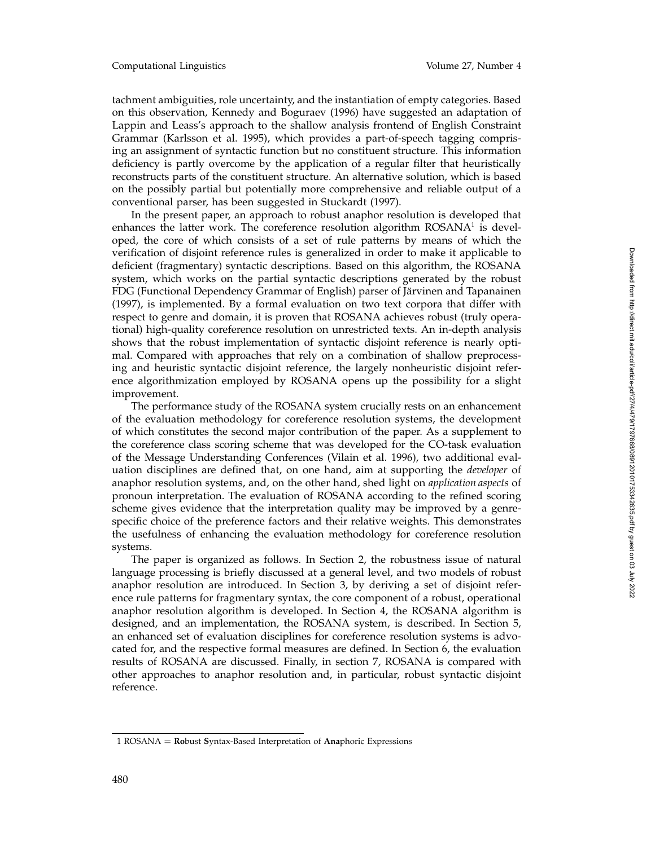tachment ambiguities, role uncertainty, and the instantiation of empty categories. Based on this observation, Kennedy and Boguraev (1996) have suggested an adaptation of Lappin and Leass's approach to the shallow analysis frontend of English Constraint Grammar (Karlsson et al. 1995), which provides a part-of-speech tagging comprising an assignment of syntactic function but no constituent structure. This information deficiency is partly overcome by the application of a regular filter that heuristically reconstructs parts of the constituent structure. An alternative solution, which is based on the possibly partial but potentially more comprehensive and reliable output of a conventional parser, has been suggested in Stuckardt (1997).

In the present paper, an approach to robust anaphor resolution is developed that enhances the latter work. The coreference resolution algorithm  $\text{ROSANA}^1$  is developed, the core of which consists of a set of rule patterns by means of which the verification of disjoint reference rules is generalized in order to make it applicable to deficient (fragmentary) syntactic descriptions. Based on this algorithm, the ROSANA system, which works on the partial syntactic descriptions generated by the robust FDG (Functional Dependency Grammar of English) parser of Järvinen and Tapanainen (1997), is implemented. By a formal evaluation on two text corpora that differ with respect to genre and domain, it is proven that ROSANA achieves robust (truly operational) high-quality coreference resolution on unrestricted texts. An in-depth analysis shows that the robust implementation of syntactic disjoint reference is nearly optimal. Compared with approaches that rely on a combination of shallow preprocessing and heuristic syntactic disjoint reference, the largely nonheuristic disjoint reference algorithmization employed by ROSANA opens up the possibility for a slight improvement.

The performance study of the ROSANA system crucially rests on an enhancement of the evaluation methodology for coreference resolution systems, the development of which constitutes the second major contribution of the paper. As a supplement to the coreference class scoring scheme that was developed for the CO-task evaluation of the Message Understanding Conferences (Vilain et al. 1996), two additional evaluation disciplines are defined that, on one hand, aim at supporting the *developer* of anaphor resolution systems, and, on the other hand, shed light on *application aspects* of pronoun interpretation. The evaluation of ROSANA according to the refined scoring scheme gives evidence that the interpretation quality may be improved by a genrespecific choice of the preference factors and their relative weights. This demonstrates the usefulness of enhancing the evaluation methodology for coreference resolution systems.

The paper is organized as follows. In Section 2, the robustness issue of natural language processing is briefly discussed at a general level, and two models of robust anaphor resolution are introduced. In Section 3, by deriving a set of disjoint reference rule patterns for fragmentary syntax, the core component of a robust, operational anaphor resolution algorithm is developed. In Section 4, the ROSANA algorithm is designed, and an implementation, the ROSANA system, is described. In Section 5, an enhanced set of evaluation disciplines for coreference resolution systems is advocated for, and the respective formal measures are defined. In Section 6, the evaluation results of ROSANA are discussed. Finally, in section 7, ROSANA is compared with other approaches to anaphor resolution and, in particular, robust syntactic disjoint reference.

<sup>1</sup> ROSANA = **Ro**bust **S**yntax-Based Interpretation of **Ana**phoric Expressions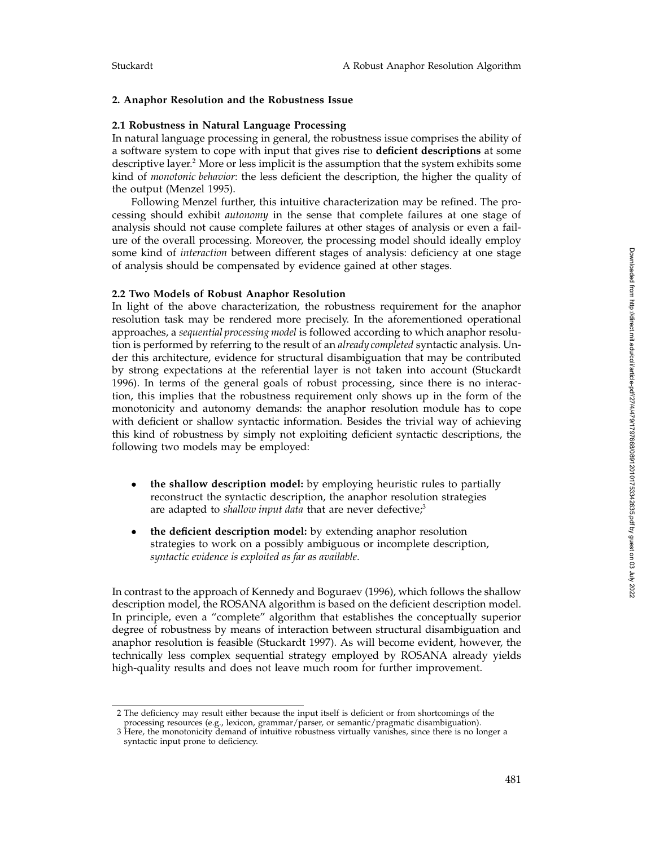## **2. Anaphor Resolution and the Robustness Issue**

#### **2.1 Robustness in Natural Language Processing**

In natural language processing in general, the robustness issue comprises the ability of a software system to cope with input that gives rise to **deficient descriptions** at some descriptive layer. <sup>2</sup> More or less implicit is the assumption that the system exhibits some kind of *monotonic behavior*: the less deficient the description, the higher the quality of the output (Menzel 1995).

Following Menzel further, this intuitive characterization may be refined. The processing should exhibit *autonomy* in the sense that complete failures at one stage of analysis should not cause complete failures at other stages of analysis or even a failure of the overall processing. Moreover, the processing model should ideally employ some kind of *interaction* between different stages of analysis: deficiency at one stage of analysis should be compensated by evidence gained at other stages.

#### **2.2 Two Models of Robust Anaphor Resolution**

In light of the above characterization, the robustness requirement for the anaphor resolution task may be rendered more precisely. In the aforementioned operational approaches, a *sequential processing model* is followed according to which anaphor resolution is performed by referring to the result of an *already completed* syntactic analysis. Under this architecture, evidence for structural disambiguation that may be contributed by strong expectations at the referential layer is not taken into account (Stuckardt 1996). In terms of the general goals of robust processing, since there is no interaction, this implies that the robustness requirement only shows up in the form of the monotonicity and autonomy demands: the anaphor resolution module has to cope with deficient or shallow syntactic information. Besides the trivial way of achieving this kind of robustness by simply not exploiting deficient syntactic descriptions, the following two models may be employed:

- **the shallow description model:** by employing heuristic rules to partially reconstruct the syntactic description, the anaphor resolution strategies are adapted to *shallow input data* that are never defective; 3
- **the deficient description model:** by extending anaphor resolution strategies to work on a possibly ambiguous or incomplete description, *syntactic evidence is exploited as far as available* .

In contrast to the approach of Kennedy and Boguraev (1996), which follows the shallow description model, the ROSANA algorithm is based on the deficient description model. In principle, even a "complete" algorithm that establishes the conceptually superior degree of robustness by means of interaction between structural disambiguation and anaphor resolution is feasible (Stuckardt 1997). As will become evident, however, the technically less complex sequential strategy employed by ROSANA already yields high-quality results and does not leave much room for further improvement.

<sup>2</sup> The deficiency may result either because the input itself is deficient or from shortcomings of the processing resources (e.g., lexicon, grammar/parser, or semantic/pragmatic disambiguation).

<sup>3</sup> Here, the monotonicity demand of intuitive robustness virtually vanishes, since there is no longer a syntactic input prone to deficiency.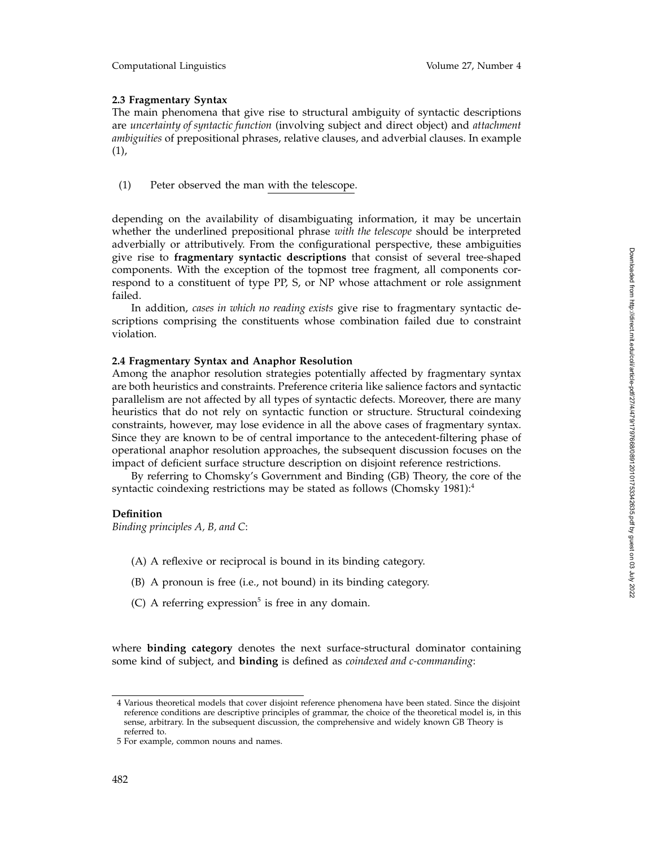# **2.3 Fragmentary Syntax**

The main phenomena that give rise to structural ambiguity of syntactic descriptions are *uncertainty of syntactic function* (involving subject and direct object) and *attachment ambiguities* of prepositional phrases, relative clauses, and adverbial clauses. In example  $(1),$ 

(1) Peter observed the man with the telescope.

depending on the availability of disambiguating information, it may be uncertain whether the underlined prepositional phrase *with the telescope* should be interpreted adverbially or attributively. From the configurational perspective, these ambiguities give rise to **fragmentary syntactic descriptions** that consist of several tree-shaped components. With the exception of the topmost tree fragment, all components correspond to a constituent of type PP, S, or NP whose attachment or role assignment failed.

In addition, *cases in which no reading exists* give rise to fragmentary syntactic descriptions comprising the constituents whose combination failed due to constraint violation.

## **2.4 Fragmentary Syntax and Anaphor Resolution**

Among the anaphor resolution strategies potentially affected by fragmentary syntax are both heuristics and constraints. Preference criteria like salience factors and syntactic parallelism are not affected by all types of syntactic defects. Moreover, there are many heuristics that do not rely on syntactic function or structure. Structural coindexing constraints, however, may lose evidence in all the above cases of fragmentary syntax. Since they are known to be of central importance to the antecedent-filtering phase of operational anaphor resolution approaches, the subsequent discussion focuses on the impact of deficient surface structure description on disjoint reference restrictions.

By referring to Chomsky's Government and Binding (GB) Theory, the core of the syntactic coindexing restrictions may be stated as follows (Chomsky 1981):<sup>4</sup>

#### **Definition**

*Binding principles A, B, and C*:

- (A) A reflexive or reciprocal is bound in its binding category.
- (B) A pronoun is free (i.e., not bound) in its binding category.
- (C) A referring expression<sup>5</sup> is free in any domain.

where **binding category** denotes the next surface-structural dominator containing some kind of subject, and **binding** is defined as *coindexed and c-commanding*:

<sup>4</sup> Various theoretical models that cover disjoint reference phenomena have been stated. Since the disjoint reference conditions are descriptive principles of grammar, the choice of the theoretical model is, in this sense, arbitrary. In the subsequent discussion, the comprehensive and widely known GB Theory is referred to.

<sup>5</sup> For example, common nouns and names.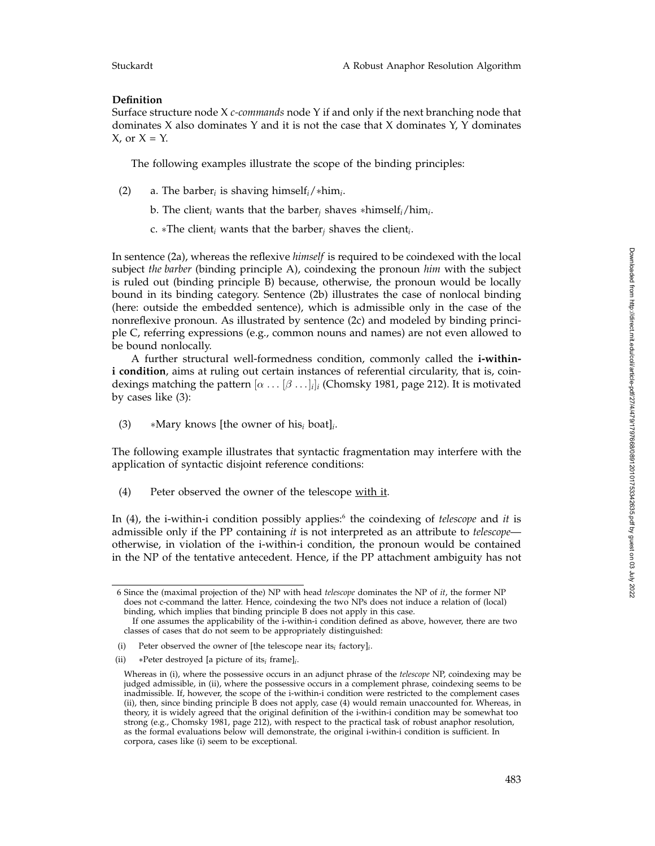# **Definition**

Surface structure node X *c-commands* node Y if and only if the next branching node that dominates  $X$  also dominates  $Y$  and it is not the case that  $X$  dominates  $Y$ ,  $Y$  dominates  $X$ , or  $X = Y$ .

The following examples illustrate the scope of the binding principles:

- (2) a. The barber*<sup>i</sup>* is shaving himself*i*/∗him*i*.
	- b. The client*<sup>i</sup>* wants that the barber*<sup>j</sup>* shaves ∗himself*i*/him*i*.
	- c. ∗The client*<sup>i</sup>* wants that the barber*<sup>j</sup>* shaves the client*i*.

In sentence (2a), whereas the reflexive *himself* is required to be coindexed with the local subject *the barber* (binding principle A), coindexing the pronoun *him* with the subject is ruled out (binding principle B) because, otherwise, the pronoun would be locally bound in its binding category. Sentence (2b) illustrates the case of nonlocal binding (here: outside the embedded sentence), which is admissible only in the case of the nonreflexive pronoun. As illustrated by sentence (2c) and modeled by binding principle C, referring expressions (e.g., common nouns and names) are not even allowed to be bound nonlocally.

A further structural well-formedness condition, commonly called the **i-withini condition**, aims at ruling out certain instances of referential circularity, that is, coindexings matching the pattern [*α...* [*β ...*]*i*]*<sup>i</sup>* (Chomsky 1981, page 212). It is motivated by cases like (3):

(3) ∗Mary knows [the owner of his*<sup>i</sup>* boat]*i*.

The following example illustrates that syntactic fragmentation may interfere with the application of syntactic disjoint reference conditions:

(4) Peter observed the owner of the telescope with it.

In (4), the i-within-i condition possibly applies:<sup>6</sup> the coindexing of *telescope* and *it* is admissible only if the PP containing *it* is not interpreted as an attribute to *telescope* otherwise, in violation of the i-within-i condition, the pronoun would be contained in the NP of the tentative antecedent. Hence, if the PP attachment ambiguity has not

<sup>6</sup> Since the (maximal projection of the) NP with head *telescope* dominates the NP of *it*, the former NP does not c-command the latter. Hence, coindexing the two NPs does not induce a relation of (local) binding, which implies that binding principle B does not apply in this case.

If one assumes the applicability of the i-within-i condition defined as above, however, there are two classes of cases that do not seem to be appropriately distinguished:

<sup>(</sup>i) Peter observed the owner of [the telescope near its*<sup>i</sup>* factory]*i*.

<sup>(</sup>ii) ∗Peter destroyed [a picture of its*<sup>i</sup>* frame]*i*.

Whereas in (i), where the possessive occurs in an adjunct phrase of the *telescope* NP, coindexing may be judged admissible, in (ii), where the possessive occurs in a complement phrase, coindexing seems to be inadmissible. If, however, the scope of the i-within-i condition were restricted to the complement cases (ii), then, since binding principle B does not apply, case (4) would remain unaccounted for. Whereas, in theory, it is widely agreed that the original definition of the i-within-i condition may be somewhat too strong (e.g., Chomsky 1981, page 212), with respect to the practical task of robust anaphor resolution, as the formal evaluations below will demonstrate, the original i-within-i condition is sufficient. In corpora, cases like (i) seem to be exceptional.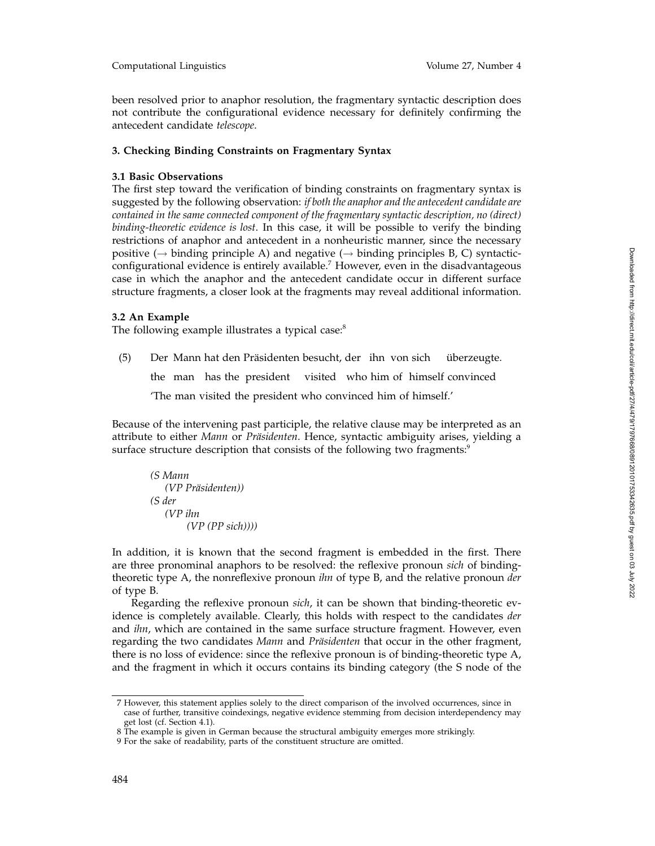been resolved prior to anaphor resolution, the fragmentary syntactic description does not contribute the configurational evidence necessary for definitely confirming the antecedent candidate *telescope* .

## **3. Checking Binding Constraints on Fragmentary Syntax**

## **3.1 Basic Observations**

The first step toward the verification of binding constraints on fragmentary syntax is suggested by the following observation: *if both the anaphor and the antecedent candidate are contained in the same connected component of the fragmentary syntactic description, no (direct) binding-theoretic evidence is lost*. In this case, it will be possible to verify the binding restrictions of anaphor and antecedent in a nonheuristic manner, since the necessary positive ( $\rightarrow$  binding principle A) and negative ( $\rightarrow$  binding principles B, C) syntacticconfigurational evidence is entirely available.<sup>7</sup> However, even in the disadvantageous case in which the anaphor and the antecedent candidate occur in different surface structure fragments, a closer look at the fragments may reveal additional information.

## **3.2 An Example**

The following example illustrates a typical case:<sup>8</sup>

(5) Der Mann hat den Präsidenten besucht, der ihn von sich überzeugte. the man has the president visited who him of himself convinced 'The man visited the president who convinced him of himself.'

Because of the intervening past participle, the relative clause may be interpreted as an attribute to either *Mann* or *Präsidenten*. Hence, syntactic ambiguity arises, yielding a surface structure description that consists of the following two fragments:<sup>9</sup>

*(S Mann (VP Pr¨asidenten)) (S der (VP ihn (VP (PP sich))))*

In addition, it is known that the second fragment is embedded in the first. There are three pronominal anaphors to be resolved: the reflexive pronoun *sich* of bindingtheoretic type A, the nonreflexive pronoun *ihn* of type B, and the relative pronoun *der* of type B.

Regarding the reflexive pronoun *sich*, it can be shown that binding-theoretic evidence is completely available. Clearly, this holds with respect to the candidates *der* and *ihn*, which are contained in the same surface structure fragment. However, even regarding the two candidates *Mann* and *Präsidenten* that occur in the other fragment, there is no loss of evidence: since the reflexive pronoun is of binding-theoretic type A, and the fragment in which it occurs contains its binding category (the S node of the

<sup>7</sup> However, this statement applies solely to the direct comparison of the involved occurrences, since in case of further, transitive coindexings, negative evidence stemming from decision interdependency may get lost (cf. Section 4.1).

<sup>8</sup> The example is given in German because the structural ambiguity emerges more strikingly.

<sup>9</sup> For the sake of readability, parts of the constituent structure are omitted.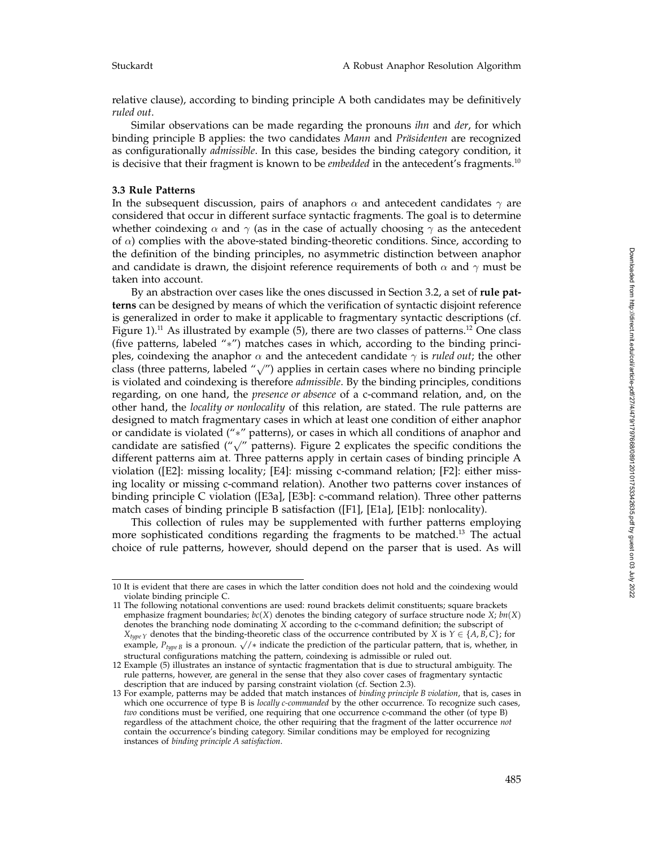relative clause), according to binding principle A both candidates may be definitively *ruled out* .

Similar observations can be made regarding the pronouns *ihn* and *der*, for which binding principle B applies: the two candidates *Mann* and *Präsidenten* are recognized as configurationally *admissible*. In this case, besides the binding category condition, it is decisive that their fragment is known to be *embedded* in the antecedent's fragments.<sup>10</sup>

## **3.3 Rule Patterns**

In the subsequent discussion, pairs of anaphors *α* and antecedent candidates *γ* are considered that occur in different surface syntactic fragments. The goal is to determine whether coindexing *α* and *γ* (as in the case of actually choosing *γ* as the antecedent of *α*) complies with the above-stated binding-theoretic conditions. Since, according to the definition of the binding principles, no asymmetric distinction between anaphor and candidate is drawn, the disjoint reference requirements of both *α* and *γ* must be taken into account.

By an abstraction over cases like the ones discussed in Section 3.2, a set of **rule patterns** can be designed by means of which the verification of syntactic disjoint reference is generalized in order to make it applicable to fragmentary syntactic descriptions (cf. Figure 1).<sup>11</sup> As illustrated by example (5), there are two classes of patterns.<sup>12</sup> One class (five patterns, labeled " ∗") matches cases in which, according to the binding principles, coindexing the anaphor  $\alpha$  and the antecedent candidate  $\gamma$  is *ruled out*; the other  $\chi$  condexing the anaphol  $\alpha$  and the antecedent candidate  $\gamma$  is *ruled out*, the other class (three patterns, labeled " $\sqrt{\ }$ ") applies in certain cases where no binding principle is violated and coindexing is therefore *admissible*. By the binding principles, conditions regarding, on one hand, the *presence or absence* of a c-command relation, and, on the other hand, the *locality or nonlocality* of this relation, are stated. The rule patterns are designed to match fragmentary cases in which at least one condition of either anaphor or candidate is violated (" ∗" patterns), or cases in which all conditions of anaphor and  $\alpha$  candidate are satisfied ( $\gamma$ <sup>"</sup> patterns). Figure 2 explicates the specific conditions the candidate are satisfied ( $\gamma$ <sup>"</sup> patterns). Figure 2 explicates the specific conditions the different patterns aim at. Three patterns apply in certain cases of binding principle A violation ([E2]: missing locality; [E4]: missing c-command relation; [F2]: either missing locality or missing c-command relation). Another two patterns cover instances of binding principle C violation ([E3a], [E3b]: c-command relation). Three other patterns match cases of binding principle B satisfaction ([F1], [E1a], [E1b]: nonlocality).

This collection of rules may be supplemented with further patterns employing more sophisticated conditions regarding the fragments to be matched.<sup>13</sup> The actual choice of rule patterns, however, should depend on the parser that is used. As will

<sup>10</sup> It is evident that there are cases in which the latter condition does not hold and the coindexing would violate binding principle C.

<sup>11</sup> The following notational conventions are used: round brackets delimit constituents; square brackets emphasize fragment boundaries;  $bc(X)$  denotes the binding category of surface structure node X;  $bn(X)$ denotes the branching node dominating *X* according to the c-command definition; the subscript of  $X_{type\ Y}$  denotes that the binding-theoretic class of the occurrence contributed by *X* is  $Y \in \{A, B, C\}$ ; for example,  $P_{type\ B}$  is a pronoun.  $\sqrt{\frac{\varkappa}{n}}$  indicate the prediction of the particular pattern, that is, whether, in structural configurations matching the pattern, coindexing is admissible or ruled out.

<sup>12</sup> Example (5) illustrates an instance of syntactic fragmentation that is due to structural ambiguity. The rule patterns, however, are general in the sense that they also cover cases of fragmentary syntactic description that are induced by parsing constraint violation (cf. Section 2.3).

<sup>13</sup> For example, patterns may be added that match instances of *binding principle B violation*, that is, cases in which one occurrence of type B is *locally c-commanded* by the other occurrence. To recognize such cases, *two* conditions must be verified, one requiring that one occurrence c-command the other (of type B) regardless of the attachment choice, the other requiring that the fragment of the latter occurrence *not* contain the occurrence's binding category. Similar conditions may be employed for recognizing instances of *binding principle A satisfaction* .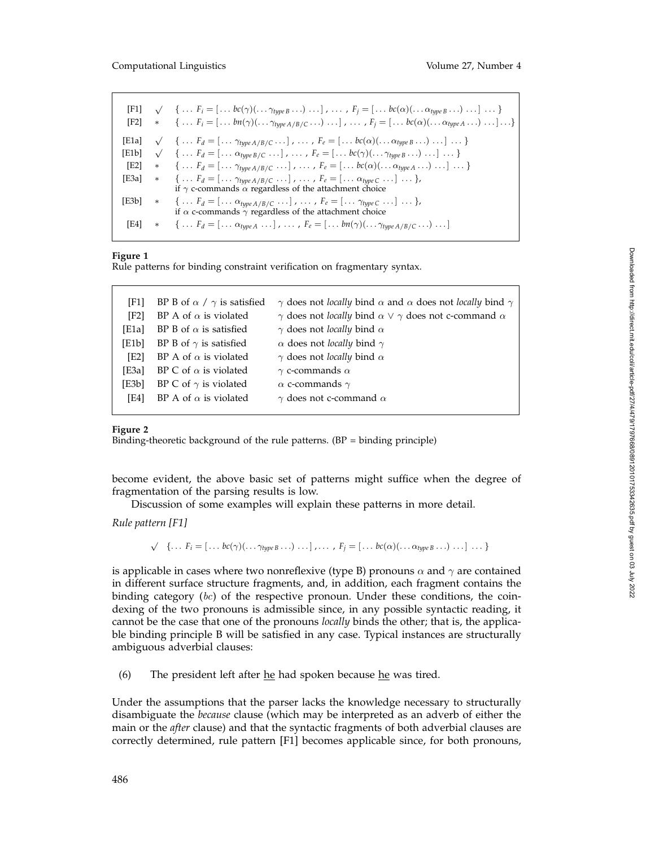Computational Linguistics Volume 27, Number 4

[F1]  $\sqrt{\xi \dots F_i} = [\dots bc(\gamma)(\dots \gamma_{type B} \dots) \dots], \dots, F_i = [\dots bc(\alpha)(\dots \alpha_{type B} \dots) \dots],$ [F2] \* {...  $F_i = [\dots bn(\gamma)(\dots \gamma_{type A/B/C} \dots) \dots], \dots, F_j = [\dots bc(\alpha)(\dots \alpha_{type A} \dots) \dots].$  $[E1a] \quad \sqrt{\quad} \{ \dots F_d = [\dots \gamma_{typeA/B/C} \dots] \}, \dots, F_e = [\dots bc(\alpha)(\dots \alpha_{typeB} \dots) \dots] \dots]$  $[F1b] \quad \sqrt{\quad} \{ \dots F_d = [\dots \alpha_{typeB/C} \dots], \dots, F_e = [\dots bc(\gamma)(\dots \gamma_{typeB} \dots) \dots], \dots \}$  $[E2]$  \* {  $\ldots$  *F<sub>d</sub>* = [ $\ldots$   $\gamma_{type A/B/C}$   $\ldots$  }  $\ldots$  ,  $F_e = [\ldots bc(\alpha)(\ldots \alpha_{type A} \ldots) \ldots] \ldots$ }  $[F3a]$  \* {  $\ldots$  *F<sub>d</sub>* = [ $\ldots$   $\gamma_{type\ A/B/C}$   $\ldots$ ],  $\ldots$ ,  $F_e$  = [ $\ldots$   $\alpha_{type\ C}$   $\ldots$ ]  $\ldots$ }, if  $\gamma$  c-commands  $\alpha$  regardless of the attachment choice  $[F3b]$  \* {  $\ldots$  *F<sub>d</sub>* = [ $\ldots \alpha_{type\ A/B/C} \ldots$ ],  $\ldots$ ,  $F_e = [\ldots \gamma_{type\ C} \ldots] \ldots$ }, if *α* c-commands *γ* regardless of the attachment choice  $[F4]$   $*$   $\{ \dots F_d = [\dots \alpha_{type A} \dots], \dots, F_e = [\dots bn(\gamma)(\dots \gamma_{type A/B/C} \dots) \dots]$ 

## **Figure 1**

Rule patterns for binding constraint verification on fragmentary syntax.

| [F1]  | BP B of $\alpha$ / $\gamma$ is satisfied | $\gamma$ does not locally bind $\alpha$ and $\alpha$ does not locally bind $\gamma$    |
|-------|------------------------------------------|----------------------------------------------------------------------------------------|
| [F2]  | BP A of $\alpha$ is violated             | $\gamma$ does not <i>locally</i> bind $\alpha \vee \gamma$ does not c-command $\alpha$ |
| [E1a] | BP B of $\alpha$ is satisfied            | $\gamma$ does not <i>locally</i> bind $\alpha$                                         |
| [E1b] | BP B of $\gamma$ is satisfied            | $\alpha$ does not <i>locally</i> bind $\gamma$                                         |
| [E2]  | BP A of $\alpha$ is violated             | $\gamma$ does not <i>locally</i> bind $\alpha$                                         |
| [E3a] | BP C of $\alpha$ is violated             | $\gamma$ c-commands $\alpha$                                                           |
| [E3b] | BP C of $\gamma$ is violated             | $\alpha$ c-commands $\gamma$                                                           |
| [E4]  | BP A of $\alpha$ is violated             | $\gamma$ does not c-command $\alpha$                                                   |
|       |                                          |                                                                                        |

## **Figure 2**

Binding-theoretic background of the rule patterns.  $(BP = \text{binding principle})$ 

become evident, the above basic set of patterns might suffice when the degree of fragmentation of the parsing results is low.

Discussion of some examples will explain these patterns in more detail.

*Rule pattern [F1]*

 $\sqrt{\xi \dots F_i} = [\dots bc(\gamma)(\dots \gamma_{\text{type }B} \dots) \dots], \dots, F_i = [\dots bc(\alpha)(\dots \alpha_{\text{type }B} \dots) \dots] \dots]$ 

is applicable in cases where two nonreflexive (type B) pronouns  $\alpha$  and  $\gamma$  are contained in different surface structure fragments, and, in addition, each fragment contains the binding category  $(bc)$  of the respective pronoun. Under these conditions, the coindexing of the two pronouns is admissible since, in any possible syntactic reading, it cannot be the case that one of the pronouns *locally* binds the other; that is, the applicable binding principle B will be satisfied in any case. Typical instances are structurally ambiguous adverbial clauses:

(6) The president left after  $he$  had spoken because  $he$  was tired.</u></u>

Under the assumptions that the parser lacks the knowledge necessary to structurally disambiguate the *because* clause (which may be interpreted as an adverb of either the main or the *after* clause) and that the syntactic fragments of both adverbial clauses are correctly determined, rule pattern [F1] becomes applicable since, for both pronouns,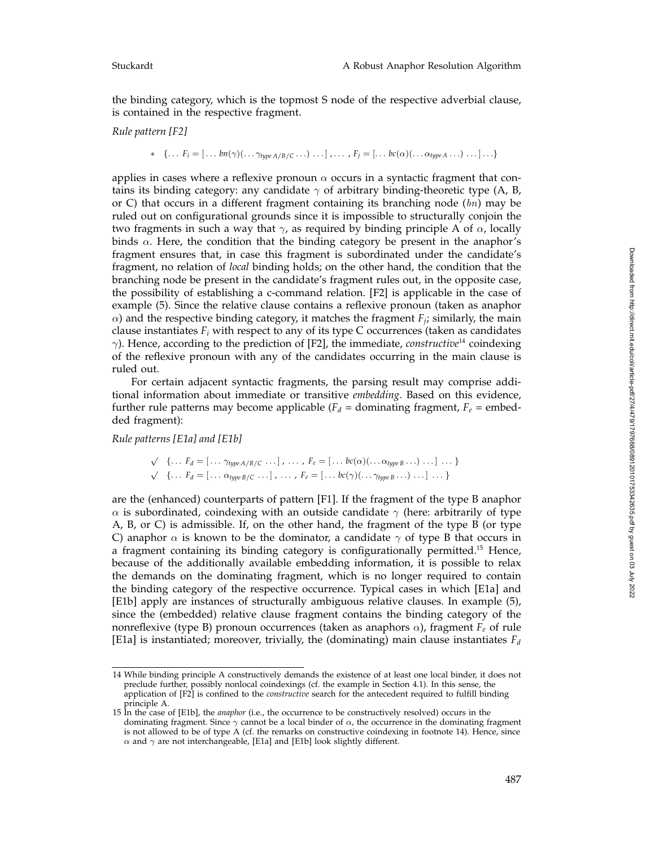the binding category, which is the topmost S node of the respective adverbial clause, is contained in the respective fragment.

# *Rule pattern [F2]*

\*  $\{\ldots F_i = [\ldots bn(\gamma)(\ldots \gamma_{type A/B/C} \ldots) \ldots], \ldots, F_j = [\ldots bc(\alpha)(\ldots \alpha_{type A} \ldots) \ldots] \ldots \}$ 

applies in cases where a reflexive pronoun  $\alpha$  occurs in a syntactic fragment that contains its binding category: any candidate  $\gamma$  of arbitrary binding-theoretic type (A, B, or C) that occurs in a different fragment containing its branching node  $(bn)$  may be ruled out on configurational grounds since it is impossible to structurally conjoin the two fragments in such a way that *γ*, as required by binding principle A of *α*, locally binds *α*. Here, the condition that the binding category be present in the anaphor's fragment ensures that, in case this fragment is subordinated under the candidate's fragment, no relation of *local* binding holds; on the other hand, the condition that the branching node be present in the candidate's fragment rules out, in the opposite case, the possibility of establishing a c-command relation. [F2] is applicable in the case of example (5). Since the relative clause contains a reflexive pronoun (taken as anaphor  $\alpha$ ) and the respective binding category, it matches the fragment  $F_i$ ; similarly, the main clause instantiates  $F_i$  with respect to any of its type C occurrences (taken as candidates *γ*). Hence, according to the prediction of [F2], the immediate, *constructive*<sup>14</sup> coindexing of the reflexive pronoun with any of the candidates occurring in the main clause is ruled out.

For certain adjacent syntactic fragments, the parsing result may comprise additional information about immediate or transitive *embedding*. Based on this evidence, further rule patterns may become applicable ( $F_d$  = dominating fragment,  $F_e$  = embedded fragment):

*Rule patterns [E1a] and [E1b]*

$$
\begin{array}{ll}\n\sqrt{ \left\{\ldots F_d = [\ldots \gamma_{type A/B/C} \ldots], \ldots, F_e = [\ldots bc(\alpha)(\ldots \alpha_{type B} \ldots), \ldots], \ldots \right\}} \\
\sqrt{ \left\{\ldots F_d = [\ldots \alpha_{type B/C} \ldots], \ldots, F_e = [\ldots bc(\gamma)(\ldots \gamma_{type B} \ldots), \ldots], \ldots \right\}}\n\end{array}
$$

are the (enhanced) counterparts of pattern [F1]. If the fragment of the type B anaphor *α* is subordinated, coindexing with an outside candidate *γ* (here: arbitrarily of type A, B, or C) is admissible. If, on the other hand, the fragment of the type B (or type C) anaphor *α* is known to be the dominator, a candidate *γ* of type B that occurs in a fragment containing its binding category is configurationally permitted.15 Hence, because of the additionally available embedding information, it is possible to relax the demands on the dominating fragment, which is no longer required to contain the binding category of the respective occurrence. Typical cases in which [E1a] and [E1b] apply are instances of structurally ambiguous relative clauses. In example (5), since the (embedded) relative clause fragment contains the binding category of the nonreflexive (type B) pronoun occurrences (taken as anaphors *α*), fragment *F <sup>e</sup>* of rule [E1a] is instantiated; moreover, trivially, the (dominating) main clause instantiates  $F_d$ 

<sup>14</sup> While binding principle A constructively demands the existence of at least one local binder, it does not preclude further, possibly nonlocal coindexings (cf. the example in Section 4.1). In this sense, the application of [F2] is confined to the *constructive* search for the antecedent required to fulfill binding principle A.

<sup>15</sup> In the case of [E1b], the *anaphor* (i.e., the occurrence to be constructively resolved) occurs in the dominating fragment. Since *γ* cannot be a local binder of *α*, the occurrence in the dominating fragment is not allowed to be of type A (cf. the remarks on constructive coindexing in footnote 14). Hence, since *α* and *γ* are not interchangeable, [E1a] and [E1b] look slightly different.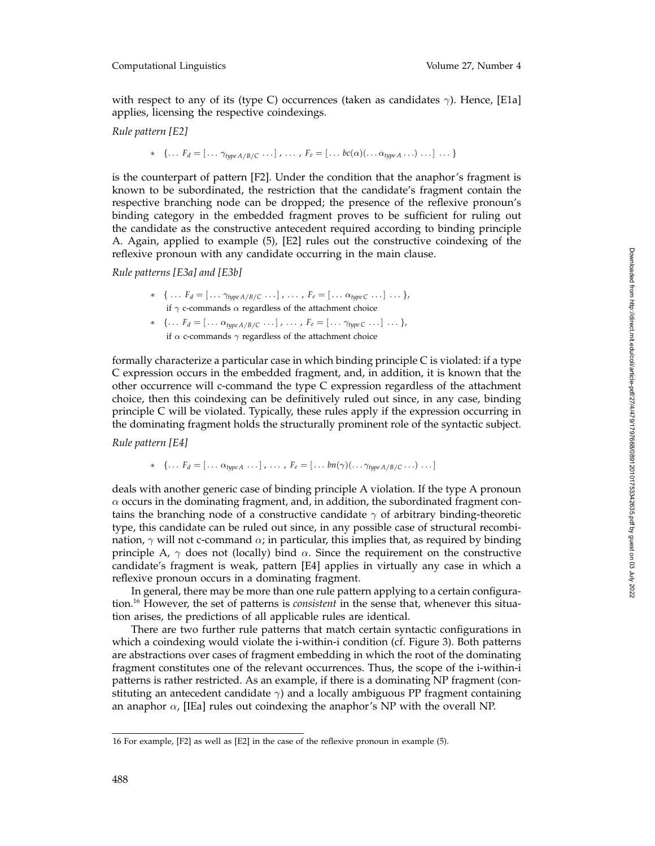with respect to any of its (type C) occurrences (taken as candidates *γ*). Hence, [E1a] applies, licensing the respective coindexings.

# *Rule pattern [E2]*

\*  $\{ \dots F_d = [\dots \gamma_{type A/B/C} \dots], \dots, F_e = [\dots bc(\alpha)(\dots \alpha_{type A} \dots) \dots], \dots \}$ 

is the counterpart of pattern [F2]. Under the condition that the anaphor's fragment is known to be subordinated, the restriction that the candidate's fragment contain the respective branching node can be dropped; the presence of the reflexive pronoun's binding category in the embedded fragment proves to be sufficient for ruling out the candidate as the constructive antecedent required according to binding principle A. Again, applied to example (5), [E2] rules out the constructive coindexing of the reflexive pronoun with any candidate occurring in the main clause.

*Rule patterns [E3a] and [E3b]*

- ∗ { ...  $F_d = [$  ... γ<sub>type A</sup>/B/C ··· }, ...,  $F_e = [$  ...  $\alpha_{type}$  C ··· }, ...}</sub> if *γ* c-commands *α* regardless of the attachment choice
- \*  $\{ \ldots F_d = [\ldots \alpha_{typeA/B/C} \ldots], \ldots, F_e = [\ldots \gamma_{typeC} \ldots], \ldots \},\$ if *α* c-commands *γ* regardless of the attachment choice

formally characterize a particular case in which binding principle C is violated: if a type C expression occurs in the embedded fragment, and, in addition, it is known that the other occurrence will c-command the type C expression regardless of the attachment choice, then this coindexing can be definitively ruled out since, in any case, binding principle C will be violated. Typically, these rules apply if the expression occurring in the dominating fragment holds the structurally prominent role of the syntactic subject.

*Rule pattern [E4]*

\* 
$$
\{\ldots F_d = [\ldots \alpha_{typeA} \ldots], \ldots, F_e = [\ldots bn(\gamma)(\ldots \gamma_{typeA/B/C} \ldots), \ldots]
$$

deals with another generic case of binding principle A violation. If the type A pronoun  $\alpha$  occurs in the dominating fragment, and, in addition, the subordinated fragment contains the branching node of a constructive candidate  $\gamma$  of arbitrary binding-theoretic type, this candidate can be ruled out since, in any possible case of structural recombination,  $\gamma$  will not c-command  $\alpha$ ; in particular, this implies that, as required by binding principle A, *γ* does not (locally) bind *α*. Since the requirement on the constructive candidate's fragment is weak, pattern [E4] applies in virtually any case in which a reflexive pronoun occurs in a dominating fragment.

In general, there may be more than one rule pattern applying to a certain configuration.16 However, the set of patterns is *consistent* in the sense that, whenever this situation arises, the predictions of all applicable rules are identical.

There are two further rule patterns that match certain syntactic configurations in which a coindexing would violate the *i*-within-*i* condition (cf. Figure 3). Both patterns are abstractions over cases of fragment embedding in which the root of the dominating fragment constitutes one of the relevant occurrences. Thus, the scope of the i-within-i patterns is rather restricted. As an example, if there is a dominating NP fragment (constituting an antecedent candidate *γ*) and a locally ambiguous PP fragment containing an anaphor *α*, [IEa] rules out coindexing the anaphor's NP with the overall NP.

<sup>16</sup> For example, [F2] as well as [E2] in the case of the reflexive pronoun in example (5).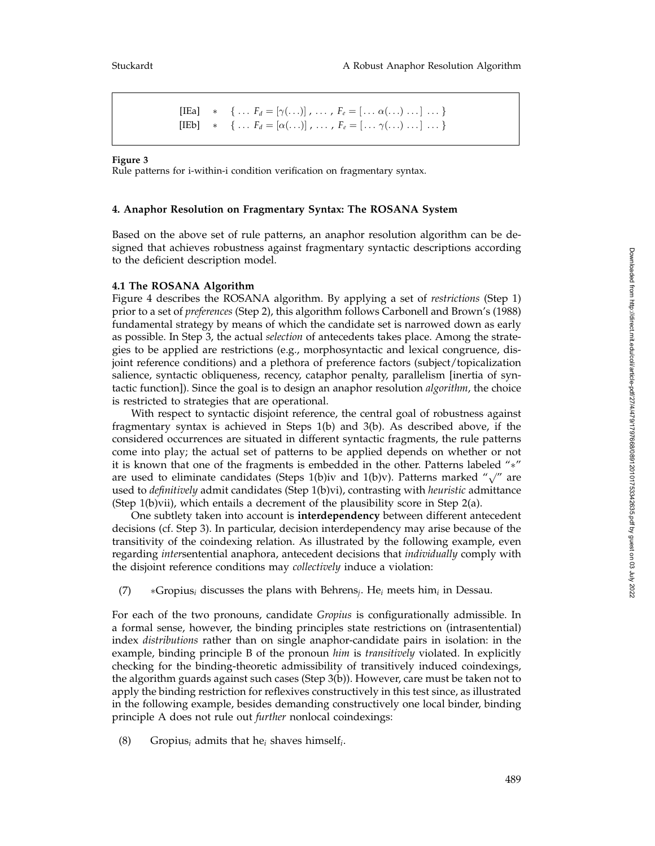[IEa]  $* \{ ... F_d = [\gamma(...)] , ..., F_e = [ ... \alpha(...) ... ] ... ]$  $[IEb]$  \* { ...  $F_d = [\alpha(\ldots)]$  , ... ,  $F_e = [\ldots \gamma(\ldots) \ldots] \ldots$  }

**Figure 3**

Rule patterns for i-within-i condition verification on fragmentary syntax.

# **4. Anaphor Resolution on Fragmentary Syntax: The ROSANA System**

Based on the above set of rule patterns, an anaphor resolution algorithm can be designed that achieves robustness against fragmentary syntactic descriptions according to the deficient description model.

# **4.1 The ROSANA Algorithm**

Figure 4 describes the ROSANA algorithm. By applying a set of *restrictions* (Step 1) prior to a set of *preferences* (Step 2), this algorithm follows Carbonell and Brown's (1988) fundamental strategy by means of which the candidate set is narrowed down as early as possible. In Step 3, the actual *selection* of antecedents takes place. Among the strategies to be applied are restrictions (e.g., morphosyntactic and lexical congruence, disjoint reference conditions) and a plethora of preference factors (subject/topicalization salience, syntactic obliqueness, recency, cataphor penalty, parallelism [inertia of syntactic function]). Since the goal is to design an anaphor resolution *algorithm*, the choice is restricted to strategies that are operational.

With respect to syntactic disjoint reference, the central goal of robustness against fragmentary syntax is achieved in Steps 1(b) and 3(b). As described above, if the considered occurrences are situated in different syntactic fragments, the rule patterns come into play; the actual set of patterns to be applied depends on whether or not it is known that one of the fragments is embedded in the other. Patterns labeled "∗" are used to eliminate candidates (Steps 1(b)iv and 1(b)v). Patterns marked " $\sqrt{\ }$ " are used to *definitively* admit candidates (Step 1(b)vi), contrasting with *heuristic* admittance (Step 1(b)vii), which entails a decrement of the plausibility score in Step 2(a).

One subtlety taken into account is **interdependency** between different antecedent decisions (cf. Step 3). In particular, decision interdependency may arise because of the transitivity of the coindexing relation. As illustrated by the following example, even regarding *inter*sentential anaphora, antecedent decisions that *individually* comply with the disjoint reference conditions may *collectively* induce a violation:

(7) ∗Gropius*<sup>i</sup>* discusses the plans with Behrens*j*. He*<sup>i</sup>* meets him*<sup>i</sup>* in Dessau.

For each of the two pronouns, candidate *Gropius* is configurationally admissible. In a formal sense, however, the binding principles state restrictions on (intrasentential) index *distributions* rather than on single anaphor-candidate pairs in isolation: in the example, binding principle B of the pronoun *him* is *transitively* violated. In explicitly checking for the binding-theoretic admissibility of transitively induced coindexings, the algorithm guards against such cases (Step 3(b)). However, care must be taken not to apply the binding restriction for reflexives constructively in this test since, as illustrated in the following example, besides demanding constructively one local binder, binding principle A does not rule out *further* nonlocal coindexings:

(8) Gropius*<sup>i</sup>* admits that he*<sup>i</sup>* shaves himself*i*.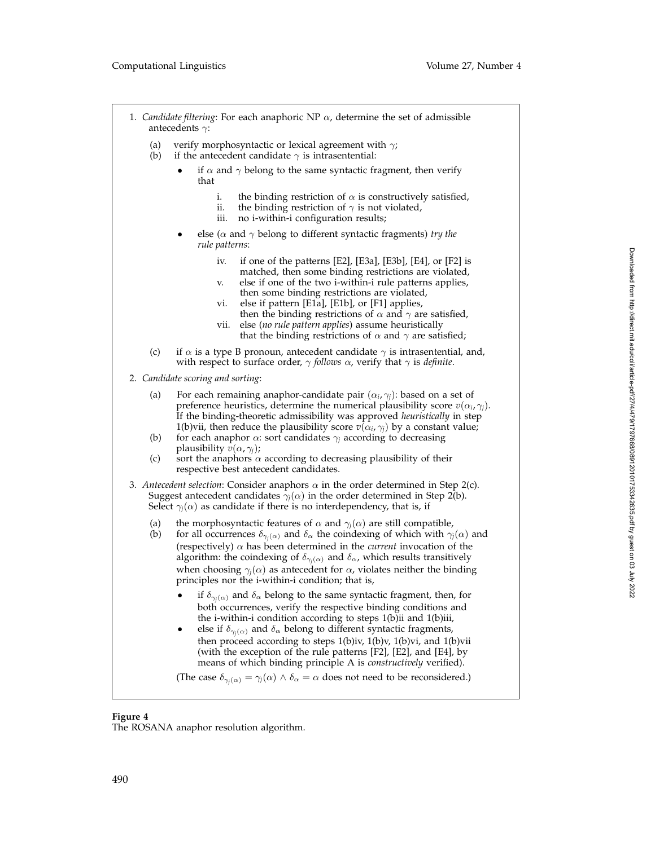|            | 1. Candidate filtering: For each anaphoric NP $\alpha$ , determine the set of admissible<br>antecedents $\gamma$ :                                                                                                                                                                                                                                                                                                                                                                                                                                                          |
|------------|-----------------------------------------------------------------------------------------------------------------------------------------------------------------------------------------------------------------------------------------------------------------------------------------------------------------------------------------------------------------------------------------------------------------------------------------------------------------------------------------------------------------------------------------------------------------------------|
| (a)<br>(b) | verify morphosyntactic or lexical agreement with $\gamma$ ;<br>if the antecedent candidate $\gamma$ is intrasentential:                                                                                                                                                                                                                                                                                                                                                                                                                                                     |
|            | if $\alpha$ and $\gamma$ belong to the same syntactic fragment, then verify<br>that                                                                                                                                                                                                                                                                                                                                                                                                                                                                                         |
|            | i.<br>the binding restriction of $\alpha$ is constructively satisfied,<br>ii.<br>the binding restriction of $\gamma$ is not violated,<br>iii.<br>no <i>i</i> -within-i configuration results;                                                                                                                                                                                                                                                                                                                                                                               |
|            | else ( $\alpha$ and $\gamma$ belong to different syntactic fragments) try the<br>rule patterns:                                                                                                                                                                                                                                                                                                                                                                                                                                                                             |
|            | if one of the patterns $[E2]$ , $[E3a]$ , $[E3b]$ , $[E4]$ , or $[F2]$ is<br>iv.<br>matched, then some binding restrictions are violated,<br>else if one of the two i-within-i rule patterns applies,<br>V.<br>then some binding restrictions are violated,<br>else if pattern $[E1a]$ , $[E1b]$ , or $[F1]$ applies,<br>vi.<br>then the binding restrictions of $\alpha$ and $\gamma$ are satisfied,<br>else (no rule pattern applies) assume heuristically<br>vii.<br>that the binding restrictions of $\alpha$ and $\gamma$ are satisfied;                               |
| (c)        | if $\alpha$ is a type B pronoun, antecedent candidate $\gamma$ is intrasentential, and,<br>with respect to surface order, $\gamma$ follows $\alpha$ , verify that $\gamma$ is <i>definite</i> .                                                                                                                                                                                                                                                                                                                                                                             |
|            | 2. Candidate scoring and sorting:                                                                                                                                                                                                                                                                                                                                                                                                                                                                                                                                           |
| (a)<br>(b) | For each remaining anaphor-candidate pair $(\alpha_i, \gamma_i)$ : based on a set of<br>preference heuristics, determine the numerical plausibility score $v(\alpha_i, \gamma_i)$ .<br>If the binding-theoretic admissibility was approved heuristically in step<br>1(b)vii, then reduce the plausibility score $v(\alpha_i, \gamma_i)$ by a constant value;<br>for each anaphor $\alpha$ : sort candidates $\gamma_i$ according to decreasing                                                                                                                              |
| (c)        | plausibility $v(\alpha, \gamma_i)$ ;<br>sort the anaphors $\alpha$ according to decreasing plausibility of their<br>respective best antecedent candidates.                                                                                                                                                                                                                                                                                                                                                                                                                  |
|            | 3. Antecedent selection: Consider anaphors $\alpha$ in the order determined in Step 2(c).<br>Suggest antecedent candidates $\gamma_i(\alpha)$ in the order determined in Step 2(b).<br>Select $\gamma_i(\alpha)$ as candidate if there is no interdependency, that is, if                                                                                                                                                                                                                                                                                                   |
| (a)<br>(b) | the morphosyntactic features of $\alpha$ and $\gamma_i(\alpha)$ are still compatible,<br>for all occurrences $\delta_{\gamma_i(\alpha)}$ and $\delta_{\alpha}$ the coindexing of which with $\gamma_i(\alpha)$ and<br>(respectively) $\alpha$ has been determined in the <i>current</i> invocation of the<br>algorithm: the coindexing of $\delta_{\gamma_i(\alpha)}$ and $\delta_{\alpha}$ , which results transitively<br>when choosing $\gamma_i(\alpha)$ as antecedent for $\alpha$ , violates neither the binding<br>principles nor the i-within-i condition; that is, |
|            | if $\delta_{\gamma_i(\alpha)}$ and $\delta_{\alpha}$ belong to the same syntactic fragment, then, for<br>both occurrences, verify the respective binding conditions and<br>the i-within-i condition according to steps 1(b)ii and 1(b)iii,<br>else if $\delta_{\gamma_i(\alpha)}$ and $\delta_{\alpha}$ belong to different syntactic fragments,<br>then proceed according to steps $1(b)$ iv, $1(b)$ v, $1(b)$ vi, and $1(b)$ vii<br>(with the exception of the rule patterns [F2], [E2], and [E4], by                                                                     |
|            | means of which binding principle A is <i>constructively</i> verified).<br>(The case $\delta_{\gamma_j(\alpha)} = \gamma_j(\alpha) \wedge \delta_\alpha = \alpha$ does not need to be reconsidered.)                                                                                                                                                                                                                                                                                                                                                                         |

#### **Figure 4**

The ROSANA anaphor resolution algorithm.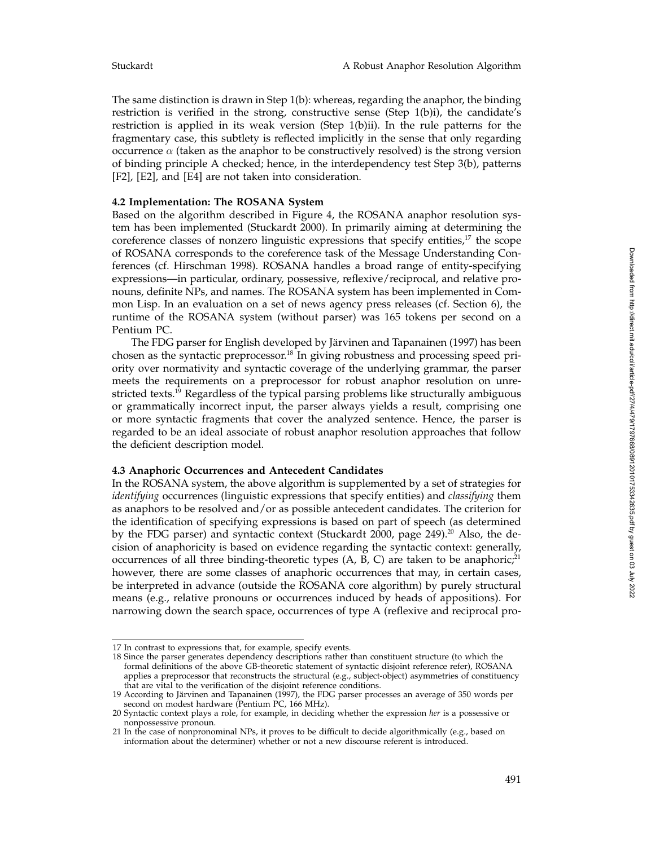The same distinction is drawn in Step 1(b): whereas, regarding the anaphor, the binding restriction is verified in the strong, constructive sense (Step 1(b)i), the candidate's restriction is applied in its weak version (Step 1(b)ii). In the rule patterns for the fragmentary case, this subtlety is reflected implicitly in the sense that only regarding occurrence  $α$  (taken as the anaphor to be constructively resolved) is the strong version of binding principle A checked; hence, in the interdependency test Step 3(b), patterns [F2], [E2], and [E4] are not taken into consideration.

#### **4.2 Implementation: The ROSANA System**

Based on the algorithm described in Figure 4, the ROSANA anaphor resolution system has been implemented (Stuckardt 2000). In primarily aiming at determining the coreference classes of nonzero linguistic expressions that specify entities, $17$  the scope of ROSANA corresponds to the coreference task of the Message Understanding Conferences (cf. Hirschman 1998). ROSANA handles a broad range of entity-specifying expressions—in particular, ordinary, possessive, reflexive/reciprocal, and relative pronouns, definite NPs, and names. The ROSANA system has been implemented in Common Lisp. In an evaluation on a set of news agency press releases (cf. Section 6), the runtime of the ROSANA system (without parser) was 165 tokens per second on a Pentium PC.

The FDG parser for English developed by Järvinen and Tapanainen (1997) has been chosen as the syntactic preprocessor.18 In giving robustness and processing speed priority over normativity and syntactic coverage of the underlying grammar, the parser meets the requirements on a preprocessor for robust anaphor resolution on unrestricted texts.<sup>19</sup> Regardless of the typical parsing problems like structurally ambiguous or grammatically incorrect input, the parser always yields a result, comprising one or more syntactic fragments that cover the analyzed sentence. Hence, the parser is regarded to be an ideal associate of robust anaphor resolution approaches that follow the deficient description model.

## **4.3 Anaphoric Occurrences and Antecedent Candidates**

In the ROSANA system, the above algorithm is supplemented by a set of strategies for *identifying* occurrences (linguistic expressions that specify entities) and *classifying* them as anaphors to be resolved and/or as possible antecedent candidates. The criterion for the identification of specifying expressions is based on part of speech (as determined by the FDG parser) and syntactic context (Stuckardt 2000, page 249).<sup>20</sup> Also, the decision of anaphoricity is based on evidence regarding the syntactic context: generally, occurrences of all three binding-theoretic types  $(A, B, C)$  are taken to be anaphoric;<sup>21</sup> however, there are some classes of anaphoric occurrences that may, in certain cases, be interpreted in advance (outside the ROSANA core algorithm) by purely structural means (e.g., relative pronouns or occurrences induced by heads of appositions). For narrowing down the search space, occurrences of type A (reflexive and reciprocal pro-

<sup>17</sup> In contrast to expressions that, for example, specify events.

<sup>18</sup> Since the parser generates dependency descriptions rather than constituent structure (to which the formal definitions of the above GB-theoretic statement of syntactic disjoint reference refer), ROSANA applies a preprocessor that reconstructs the structural (e.g., subject-object) asymmetries of constituency that are vital to the verification of the disjoint reference conditions.

<sup>19</sup> According to Järvinen and Tapanainen (1997), the FDG parser processes an average of 350 words per second on modest hardware (Pentium PC, 166 MHz).

<sup>20</sup> Syntactic context plays a role, for example, in deciding whether the expression *her* is a possessive or nonpossessive pronoun.

<sup>21</sup> In the case of nonpronominal NPs, it proves to be difficult to decide algorithmically (e.g., based on information about the determiner) whether or not a new discourse referent is introduced.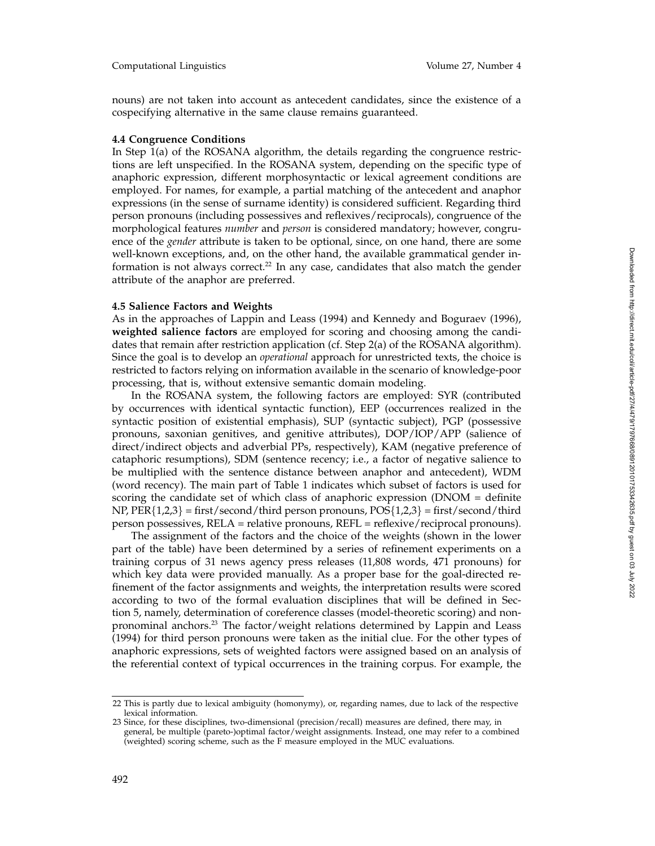nouns) are not taken into account as antecedent candidates, since the existence of a cospecifying alternative in the same clause remains guaranteed.

## **4.4 Congruence Conditions**

In Step 1(a) of the ROSANA algorithm, the details regarding the congruence restrictions are left unspecified. In the ROSANA system, depending on the specific type of anaphoric expression, different morphosyntactic or lexical agreement conditions are employed. For names, for example, a partial matching of the antecedent and anaphor expressions (in the sense of surname identity) is considered sufficient. Regarding third person pronouns (including possessives and reflexives/reciprocals), congruence of the morphological features *number* and *person* is considered mandatory; however, congruence of the *gender* attribute is taken to be optional, since, on one hand, there are some well-known exceptions, and, on the other hand, the available grammatical gender information is not always correct.<sup>22</sup> In any case, candidates that also match the gender attribute of the anaphor are preferred.

## **4.5 Salience Factors and Weights**

As in the approaches of Lappin and Leass (1994) and Kennedy and Boguraev (1996), **weighted salience factors** are employed for scoring and choosing among the candidates that remain after restriction application (cf. Step 2(a) of the ROSANA algorithm). Since the goal is to develop an *operational* approach for unrestricted texts, the choice is restricted to factors relying on information available in the scenario of knowledge-poor processing, that is, without extensive semantic domain modeling.

In the ROSANA system, the following factors are employed: SYR (contributed by occurrences with identical syntactic function), EEP (occurrences realized in the syntactic position of existential emphasis), SUP (syntactic subject), PGP (possessive pronouns, saxonian genitives, and genitive attributes), DOP/IOP/APP (salience of direct/indirect objects and adverbial PPs, respectively), KAM (negative preference of cataphoric resumptions), SDM (sentence recency; i.e., a factor of negative salience to be multiplied with the sentence distance between anaphor and antecedent), WDM (word recency). The main part of Table 1 indicates which subset of factors is used for scoring the candidate set of which class of anaphoric expression (DNOM = definite NP, PER {1,2,3 } = first/second/third person pronouns, POS {1,2,3 } = first/second/third person possessives, RELA = relative pronouns, REFL = reflexive/reciprocal pronouns).

The assignment of the factors and the choice of the weights (shown in the lower part of the table) have been determined by a series of refinement experiments on a training corpus of 31 news agency press releases (11,808 words, 471 pronouns) for which key data were provided manually. As a proper base for the goal-directed refinement of the factor assignments and weights, the interpretation results were scored according to two of the formal evaluation disciplines that will be defined in Section 5, namely, determination of coreference classes (model-theoretic scoring) and nonpronominal anchors.23 The factor/weight relations determined by Lappin and Leass (1994) for third person pronouns were taken as the initial clue. For the other types of anaphoric expressions, sets of weighted factors were assigned based on an analysis of the referential context of typical occurrences in the training corpus. For example, the

<sup>22</sup> This is partly due to lexical ambiguity (homonymy), or, regarding names, due to lack of the respective lexical information.

<sup>23</sup> Since, for these disciplines, two-dimensional (precision/recall) measures are defined, there may, in general, be multiple (pareto-)optimal factor/weight assignments. Instead, one may refer to a combined (weighted) scoring scheme, such as the F measure employed in the MUC evaluations.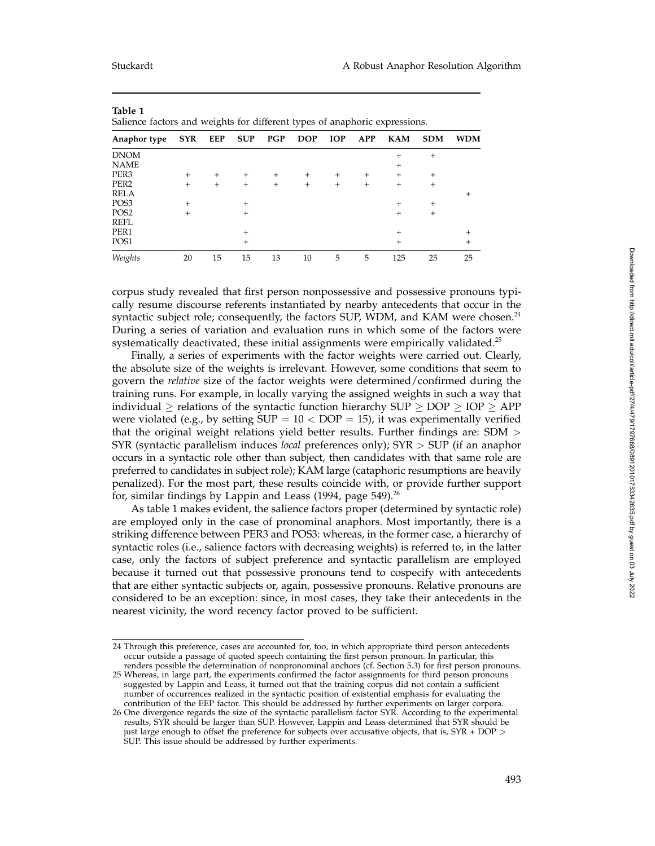| ?                |            |        |            |        |            |            |                |            |            |            |  |  |
|------------------|------------|--------|------------|--------|------------|------------|----------------|------------|------------|------------|--|--|
| Anaphor type     | <b>SYR</b> | EEP    | <b>SUP</b> | PGP    | <b>DOP</b> | <b>IOP</b> | <b>APP</b>     | <b>KAM</b> | <b>SDM</b> | <b>WDM</b> |  |  |
| <b>DNOM</b>      |            |        |            |        |            |            |                | $+$        | $\ddot{}$  |            |  |  |
| <b>NAME</b>      |            |        |            |        |            |            |                | $^{+}$     |            |            |  |  |
| PER <sub>3</sub> | $+$        | $^{+}$ | $^{+}$     | $^{+}$ | $^{+}$     | $^{+}$     | $\overline{+}$ | $+$        | $^{+}$     |            |  |  |
| PER <sub>2</sub> | $+$        | $^{+}$ | $^{+}$     | $^{+}$ | $^{+}$     | $+$        | $^{+}$         | $^{+}$     | $^{+}$     |            |  |  |
| <b>RELA</b>      |            |        |            |        |            |            |                |            |            |            |  |  |
| POS <sub>3</sub> | $+$        |        | $^{+}$     |        |            |            |                | $+$        | $\ddot{}$  |            |  |  |
| POS <sub>2</sub> | $\ddot{}$  |        | $^{+}$     |        |            |            |                | $\ddot{}$  | $\ddot{}$  |            |  |  |
| <b>REFL</b>      |            |        |            |        |            |            |                |            |            |            |  |  |
| PER1             |            |        | $^{+}$     |        |            |            |                | $^+$       |            | ╄          |  |  |
| POS <sub>1</sub> |            |        | $^{+}$     |        |            |            |                | $^+$       |            | $^+$       |  |  |
| Weights          | 20         | 15     | 15         | 13     | 10         | 5          | 5              | 125        | 25         | 25         |  |  |

| Table 1                                                                    |  |
|----------------------------------------------------------------------------|--|
| Salience factors and weights for different types of anaphoric expressions. |  |

corpus study revealed that first person nonpossessive and possessive pronouns typically resume discourse referents instantiated by nearby antecedents that occur in the syntactic subject role; consequently, the factors SUP, WDM, and KAM were chosen.<sup>24</sup> During a series of variation and evaluation runs in which some of the factors were systematically deactivated, these initial assignments were empirically validated.<sup>25</sup>

Finally, a series of experiments with the factor weights were carried out. Clearly, the absolute size of the weights is irrelevant. However, some conditions that seem to govern the *relative* size of the factor weights were determined/confirmed during the training runs. For example, in locally varying the assigned weights in such a way that individual  $\geq$  relations of the syntactic function hierarchy SUP  $\geq$  DOP  $\geq$  IOP  $\geq$  APP were violated (e.g., by setting  $SUP = 10 < DOP = 15$ ), it was experimentally verified that the original weight relations yield better results. Further findings are: SDM *>* SYR (syntactic parallelism induces *local* preferences only); SYR *>* SUP (if an anaphor occurs in a syntactic role other than subject, then candidates with that same role are preferred to candidates in subject role); KAM large (cataphoric resumptions are heavily penalized). For the most part, these results coincide with, or provide further support for, similar findings by Lappin and Leass  $(1994, \text{page } 549)^{26}$ 

As table 1 makes evident, the salience factors proper (determined by syntactic role) are employed only in the case of pronominal anaphors. Most importantly, there is a striking difference between PER3 and POS3: whereas, in the former case, a hierarchy of syntactic roles (i.e., salience factors with decreasing weights) is referred to, in the latter case, only the factors of subject preference and syntactic parallelism are employed because it turned out that possessive pronouns tend to cospecify with antecedents that are either syntactic subjects or, again, possessive pronouns. Relative pronouns are considered to be an exception: since, in most cases, they take their antecedents in the nearest vicinity, the word recency factor proved to be sufficient.

<sup>24</sup> Through this preference, cases are accounted for, too, in which appropriate third person antecedents occur outside a passage of quoted speech containing the first person pronoun. In particular, this renders possible the determination of nonpronominal anchors (cf. Section 5.3) for first person pronouns.

<sup>25</sup> Whereas, in large part, the experiments confirmed the factor assignments for third person pronouns suggested by Lappin and Leass, it turned out that the training corpus did not contain a sufficient number of occurrences realized in the syntactic position of existential emphasis for evaluating the contribution of the EEP factor. This should be addressed by further experiments on larger corpora.

<sup>26</sup> One divergence regards the size of the syntactic parallelism factor SYR. According to the experimental results, SYR should be larger than SUP. However, Lappin and Leass determined that SYR should be just large enough to offset the preference for subjects over accusative objects, that is, SYR + DOP *>* SUP. This issue should be addressed by further experiments.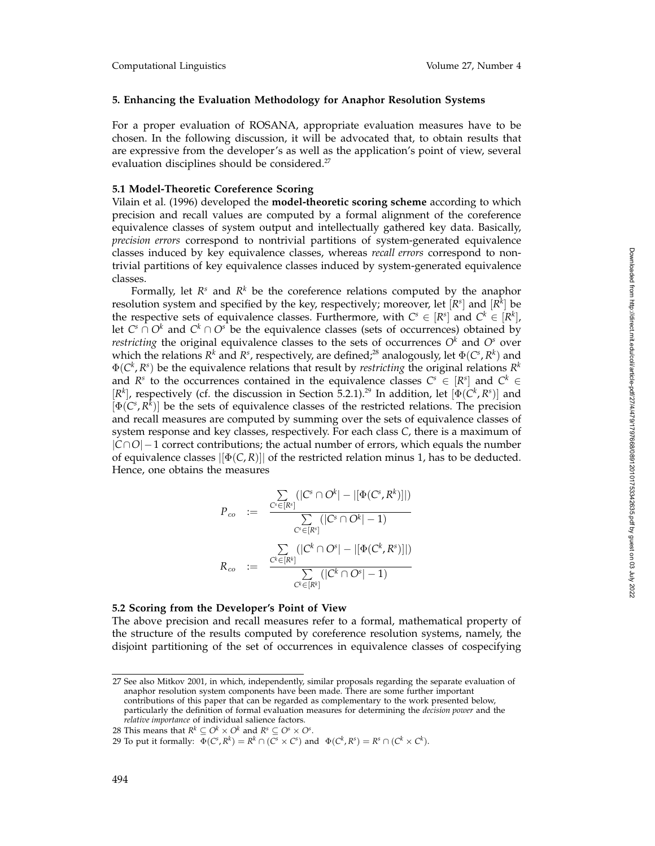## **5. Enhancing the Evaluation Methodology for Anaphor Resolution Systems**

For a proper evaluation of ROSANA, appropriate evaluation measures have to be chosen. In the following discussion, it will be advocated that, to obtain results that are expressive from the developer's as well as the application's point of view, several evaluation disciplines should be considered.<sup>27</sup>

## **5.1 Model-Theoretic Coreference Scoring**

Vilain et al. (1996) developed the **model-theoretic scoring scheme** according to which precision and recall values are computed by a formal alignment of the coreference equivalence classes of system output and intellectually gathered key data. Basically, *precision errors* correspond to nontrivial partitions of system-generated equivalence classes induced by key equivalence classes, whereas *recall errors* correspond to nontrivial partitions of key equivalence classes induced by system-generated equivalence classes.

Formally, let  $R^s$  and  $R^k$  be the coreference relations computed by the anaphor resolution system and specified by the key, respectively; moreover, let  $[R^s]$  and  $[R^k]$  be the respective sets of equivalence classes. Furthermore, with  $C^s \in [R^s]$  and  $C^k \in [R^k]$ , let  $C^s \cap O^k$  and  $C^k \cap O^s$  be the equivalence classes (sets of occurrences) obtained by *restricting* the original equivalence classes to the sets of occurrences  $O^k$  and  $O^s$  over which the relations  $R^k$  and  $R^s$ , respectively, are defined;<sup>28</sup> analogously, let  $\Phi(C^s,R^k)$  and  $\Phi(C^k, R^s)$  be the equivalence relations that result by *restricting* the original relations  $R^k$ and  $R^s$  to the occurrences contained in the equivalence classes  $C^s \in [R^s]$  and  $C^k \in$  $[R^k]$ , respectively (cf. the discussion in Section 5.2.1).<sup>29</sup> In addition, let  $[\Phi(C^k, R^s)]$  and  $[\Phi(C^s, R^k)]$  be the sets of equivalence classes of the restricted relations. The precision and recall measures are computed by summing over the sets of equivalence classes of system response and key classes, respectively. For each class *C*, there is a maximum of | *C* ∩ *O*|−1 correct contributions; the actual number of errors, which equals the number of equivalence classes  $\left|[\Phi(C,R)]\right|$  of the restricted relation minus 1, has to be deducted. Hence, one obtains the measures

$$
P_{co} := \frac{\sum_{C^{s} \in [R^{s}]} (|C^{s} \cap O^{k}| - |[\Phi(C^{s}, R^{k})]|)}{\sum_{C^{s} \in [R^{s}]} (|C^{s} \cap O^{k}| - 1)}
$$
  

$$
R_{co} := \frac{\sum_{C^{k} \in [R^{k}]} (|C^{k} \cap O^{s}| - |[\Phi(C^{k}, R^{s})]|)}{\sum_{C^{k} \in [R^{k}]} (|C^{k} \cap O^{s}| - 1)}
$$

#### **5.2 Scoring from the Developer's Point of View**

The above precision and recall measures refer to a formal, mathematical property of the structure of the results computed by coreference resolution systems, namely, the disjoint partitioning of the set of occurrences in equivalence classes of cospecifying Downloaded from http://direct.mit.edu/coli/article-pdf27/4/479/1797668/089120101753342635.pdf by guest on 03 July 2022 Downloaded from http://direct.mit.edu/coli/article-pdf/27/4/479/1797668/089120101753342635.pdf by guest on 03 July 2022

<sup>27</sup> See also Mitkov 2001, in which, independently, similar proposals regarding the separate evaluation of anaphor resolution system components have been made. There are some further important contributions of this paper that can be regarded as complementary to the work presented below, particularly the definition of formal evaluation measures for determining the *decision power* and the *relative importance* of individual salience factors.

<sup>28</sup> This means that  $R^k \subseteq O^k \times O^k$  and  $R^s \subseteq O^s \times O^s$ .

<sup>29</sup> To put it formally:  $\Phi(C^s, R^k) = R^k \cap (C^s \times C^s)$  and  $\Phi(C^k, R^s) = R^s \cap (C^k \times C^k)$ .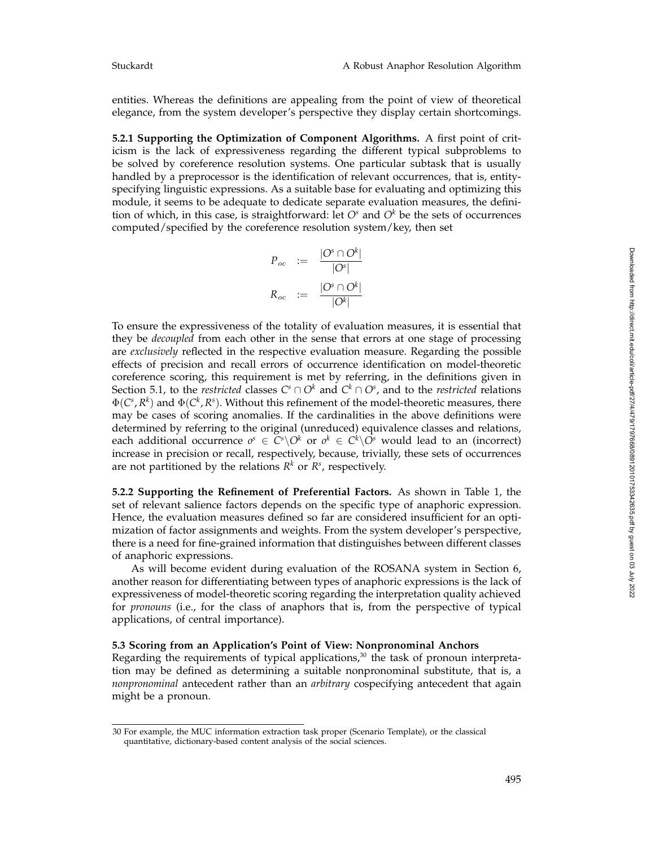entities. Whereas the definitions are appealing from the point of view of theoretical elegance, from the system developer's perspective they display certain shortcomings.

**5.2.1 Supporting the Optimization of Component Algorithms.** A first point of criticism is the lack of expressiveness regarding the different typical subproblems to be solved by coreference resolution systems. One particular subtask that is usually handled by a preprocessor is the identification of relevant occurrences, that is, entityspecifying linguistic expressions. As a suitable base for evaluating and optimizing this module, it seems to be adequate to dedicate separate evaluation measures, the definition of which, in this case, is straightforward: let  $O<sup>s</sup>$  and  $O<sup>k</sup>$  be the sets of occurrences computed/specified by the coreference resolution system/key, then set

$$
P_{oc} := \frac{|O^s \cap O^k|}{|O^s|}
$$
  

$$
R_{oc} := \frac{|O^s \cap O^k|}{|O^k|}
$$

To ensure the expressiveness of the totality of evaluation measures, it is essential that they be *decoupled* from each other in the sense that errors at one stage of processing are *exclusively* reflected in the respective evaluation measure. Regarding the possible effects of precision and recall errors of occurrence identification on model-theoretic coreference scoring, this requirement is met by referring, in the definitions given in Section 5.1, to the *restricted* classes  $C^s \cap O^k$  and  $C^k \cap O^s$ , and to the *restricted* relations  $\Phi(C^s, R^k)$  and  $\Phi(C^k, R^s)$ . Without this refinement of the model-theoretic measures, there may be cases of scoring anomalies. If the cardinalities in the above definitions were determined by referring to the original (unreduced) equivalence classes and relations, each additional occurrence  $o^s \in C^s \backslash O^k$  or  $o^k \in C^k \backslash O^s$  would lead to an (incorrect) increase in precision or recall, respectively, because, trivially, these sets of occurrences are not partitioned by the relations  $R^k$  or  $R^s$ , respectively.

**5.2.2 Supporting the Refinement of Preferential Factors.** As shown in Table 1, the set of relevant salience factors depends on the specific type of anaphoric expression. Hence, the evaluation measures defined so far are considered insufficient for an optimization of factor assignments and weights. From the system developer's perspective, there is a need for fine-grained information that distinguishes between different classes of anaphoric expressions.

As will become evident during evaluation of the ROSANA system in Section 6, another reason for differentiating between types of anaphoric expressions is the lack of expressiveness of model-theoretic scoring regarding the interpretation quality achieved for *pronouns* (i.e., for the class of anaphors that is, from the perspective of typical applications, of central importance).

#### **5.3 Scoring from an Application's Point of View: Nonpronominal Anchors**

Regarding the requirements of typical applications, $30$  the task of pronoun interpretation may be defined as determining a suitable nonpronominal substitute, that is, a *nonpronominal* antecedent rather than an *arbitrary* cospecifying antecedent that again might be a pronoun.

<sup>30</sup> For example, the MUC information extraction task proper (Scenario Template), or the classical quantitative, dictionary-based content analysis of the social sciences.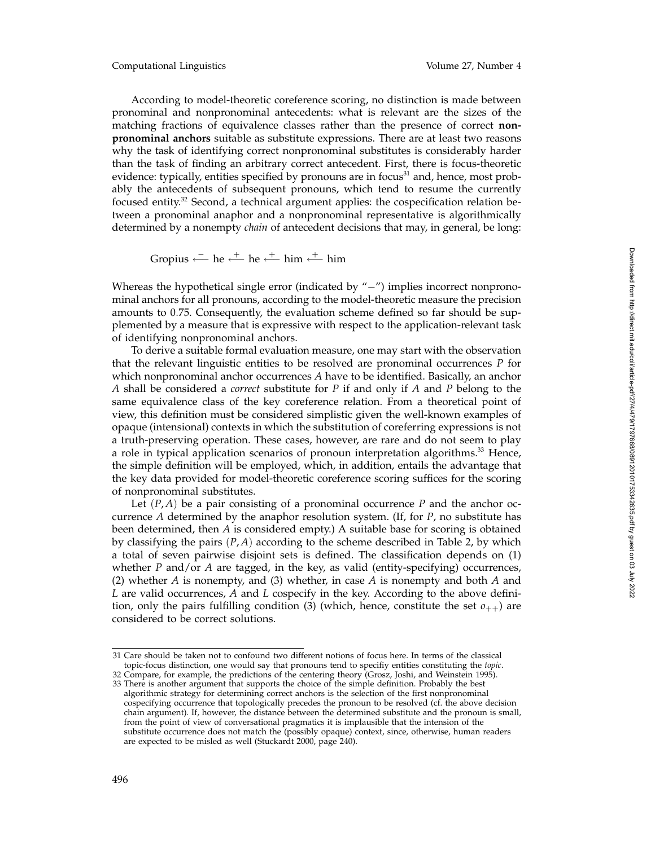According to model-theoretic coreference scoring, no distinction is made between pronominal and nonpronominal antecedents: what is relevant are the sizes of the matching fractions of equivalence classes rather than the presence of correct **nonpronominal anchors** suitable as substitute expressions. There are at least two reasons why the task of identifying correct nonpronominal substitutes is considerably harder than the task of finding an arbitrary correct antecedent. First, there is focus-theoretic evidence: typically, entities specified by pronouns are in focus $31$  and, hence, most probably the antecedents of subsequent pronouns, which tend to resume the currently focused entity. $32$  Second, a technical argument applies: the cospecification relation between a pronominal anaphor and a nonpronominal representative is algorithmically determined by a nonempty *chain* of antecedent decisions that may, in general, be long:

Gropius 
$$
\stackrel{\scriptscriptstyle+}{\longleftarrow}
$$
 he  $\stackrel{\scriptscriptstyle+}{\longleftarrow}$  him  $\stackrel{\scriptscriptstyle+}{\longleftarrow}$  him

Whereas the hypothetical single error (indicated by "–") implies incorrect nonpronominal anchors for all pronouns, according to the model-theoretic measure the precision amounts to 0 *.*75. Consequently, the evaluation scheme defined so far should be supplemented by a measure that is expressive with respect to the application-relevant task of identifying nonpronominal anchors.

To derive a suitable formal evaluation measure, one may start with the observation that the relevant linguistic entities to be resolved are pronominal occurrences *P* for which nonpronominal anchor occurrences *A* have to be identified. Basically, an anchor *A* shall be considered a *correct* substitute for *P* if and only if *A* and *P* belong to the same equivalence class of the key coreference relation. From a theoretical point of view, this definition must be considered simplistic given the well-known examples of opaque (intensional) contexts in which the substitution of coreferring expressions is not a truth-preserving operation. These cases, however, are rare and do not seem to play a role in typical application scenarios of pronoun interpretation algorithms.33 Hence, the simple definition will be employed, which, in addition, entails the advantage that the key data provided for model-theoretic coreference scoring suffices for the scoring of nonpronominal substitutes.

Let  $(P, A)$  be a pair consisting of a pronominal occurrence  $P$  and the anchor occurrence *A* determined by the anaphor resolution system. (If, for *P*, no substitute has been determined, then *A* is considered empty.) A suitable base for scoring is obtained by classifying the pairs  $(P, A)$  according to the scheme described in Table 2, by which a total of seven pairwise disjoint sets is defined. The classification depends on (1) whether *P* and/or *A* are tagged, in the key, as valid (entity-specifying) occurrences, (2) whether *A* is nonempty, and (3) whether, in case *A* is nonempty and both *A* and *L* are valid occurrences, *A* and *L* cospecify in the key. According to the above definition, only the pairs fulfilling condition (3) (which, hence, constitute the set  $o_{++}$ ) are considered to be correct solutions.

<sup>31</sup> Care should be taken not to confound two different notions of focus here. In terms of the classical topic-focus distinction, one would say that pronouns tend to specifiy entities constituting the *topic* .

<sup>32</sup> Compare, for example, the predictions of the centering theory (Grosz, Joshi, and Weinstein 1995). 33 There is another argument that supports the choice of the simple definition. Probably the best

algorithmic strategy for determining correct anchors is the selection of the first nonpronominal cospecifying occurrence that topologically precedes the pronoun to be resolved (cf. the above decision chain argument). If, however, the distance between the determined substitute and the pronoun is small, from the point of view of conversational pragmatics it is implausible that the intension of the substitute occurrence does not match the (possibly opaque) context, since, otherwise, human readers are expected to be misled as well (Stuckardt 2000, page 240).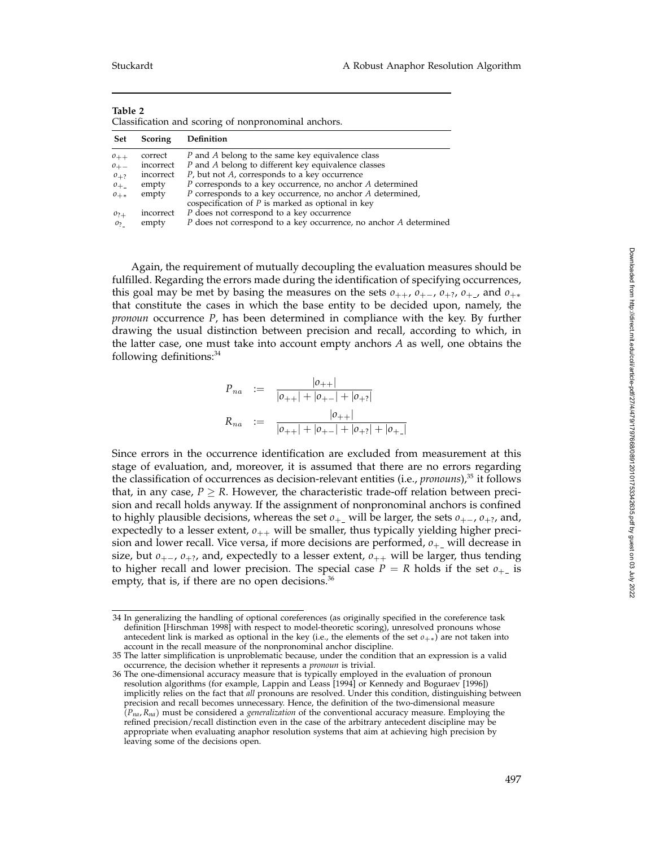|                | Classification and scoring of nonpronominal anchors. |                                                                   |  |  |  |  |  |  |  |
|----------------|------------------------------------------------------|-------------------------------------------------------------------|--|--|--|--|--|--|--|
| <b>Set</b>     | Scoring                                              | Definition                                                        |  |  |  |  |  |  |  |
| $0_{++}$       | correct                                              | P and A belong to the same key equivalence class                  |  |  |  |  |  |  |  |
| $0+-$          | incorrect                                            | P and A belong to different key equivalence classes               |  |  |  |  |  |  |  |
| $0+2$          | incorrect                                            | $P$ , but not $A$ , corresponds to a key occurrence               |  |  |  |  |  |  |  |
| $0_{+}$        | empty                                                | P corresponds to a key occurrence, no anchor A determined         |  |  |  |  |  |  |  |
| $0_{+*}$       | empty                                                | P corresponds to a key occurrence, no anchor A determined,        |  |  |  |  |  |  |  |
|                |                                                      | cospecification of $P$ is marked as optional in key               |  |  |  |  |  |  |  |
| $^{0.7+}$      | incorrect                                            | P does not correspond to a key occurrence                         |  |  |  |  |  |  |  |
| 0 <sub>2</sub> | empty                                                | P does not correspond to a key occurrence, no anchor A determined |  |  |  |  |  |  |  |

**Table 2**

Again, the requirement of mutually decoupling the evaluation measures should be fulfilled. Regarding the errors made during the identification of specifying occurrences, this goal may be met by basing the measures on the sets  $o_{++}$ ,  $o_{+-}$ ,  $o_{+}$ ,  $o_{+-}$ , and  $o_{+*}$ that constitute the cases in which the base entity to be decided upon, namely, the *pronoun* occurrence *P*, has been determined in compliance with the key. By further drawing the usual distinction between precision and recall, according to which, in the latter case, one must take into account empty anchors *A* as well, one obtains the following definitions:34

$$
P_{na} := \frac{|o_{++}|}{|o_{++}| + |o_{+-}| + |o_{++}|}
$$
  

$$
R_{na} := \frac{|o_{++}|}{|o_{++}| + |o_{+-}| + |o_{++}| + |o_{+-}|}
$$

Since errors in the occurrence identification are excluded from measurement at this stage of evaluation, and, moreover, it is assumed that there are no errors regarding the classification of occurrences as decision-relevant entities (i.e., *pronouns*),35 it follows that, in any case,  $P \geq R$ . However, the characteristic trade-off relation between precision and recall holds anyway. If the assignment of nonpronominal anchors is confined to highly plausible decisions, whereas the set  $o_{+}$  will be larger, the sets  $o_{+-}$ ,  $o_{+}$ , and, expectedly to a lesser extent,  $o_{++}$  will be smaller, thus typically yielding higher precision and lower recall. Vice versa, if more decisions are performed,  $o_{+}$  will decrease in size, but  $o_{+-}$ ,  $o_{+}$ , and, expectedly to a lesser extent,  $o_{++}$  will be larger, thus tending to higher recall and lower precision. The special case  $P = R$  holds if the set  $o_{+}$  is empty, that is, if there are no open decisions.<sup>36</sup>

<sup>34</sup> In generalizing the handling of optional coreferences (as originally specified in the coreference task definition [Hirschman 1998] with respect to model-theoretic scoring), unresolved pronouns whose antecedent link is marked as optional in the key (i.e., the elements of the set  $o_{+*}$ ) are not taken into account in the recall measure of the nonpronominal anchor discipline.

<sup>35</sup> The latter simplification is unproblematic because, under the condition that an expression is a valid occurrence, the decision whether it represents a *pronoun* is trivial.

<sup>36</sup> The one-dimensional accuracy measure that is typically employed in the evaluation of pronoun resolution algorithms (for example, Lappin and Leass [1994] or Kennedy and Boguraev [1996]) implicitly relies on the fact that *all* pronouns are resolved. Under this condition, distinguishing between precision and recall becomes unnecessary. Hence, the definition of the two-dimensional measure (*Pna*, *Rna*) must be considered a *generalization* of the conventional accuracy measure. Employing the refined precision/recall distinction even in the case of the arbitrary antecedent discipline may be appropriate when evaluating anaphor resolution systems that aim at achieving high precision by leaving some of the decisions open.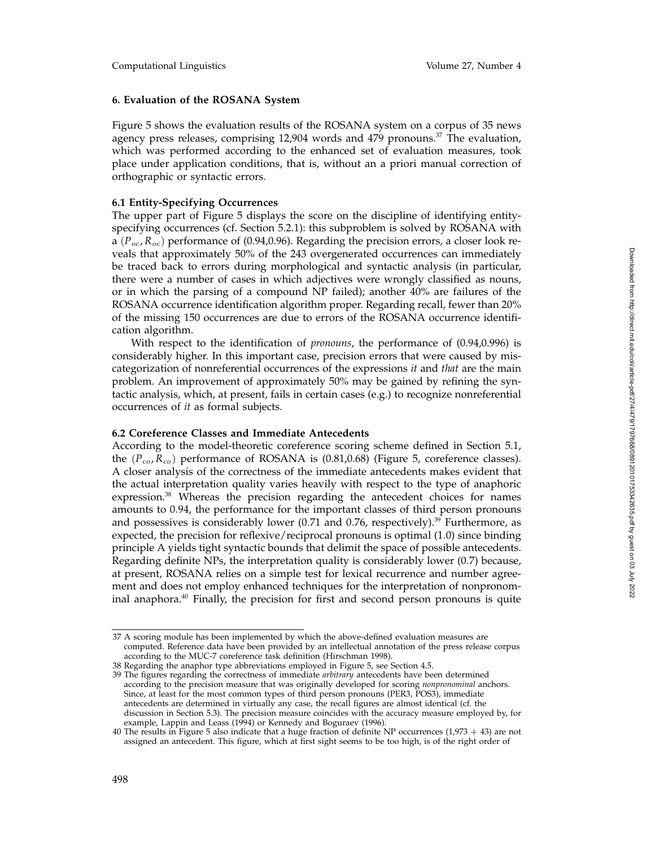## **6. Evaluation of the ROSANA System**

Figure 5 shows the evaluation results of the ROSANA system on a corpus of 35 news agency press releases, comprising  $12,904$  words and  $479$  pronouns.<sup>37</sup> The evaluation, which was performed according to the enhanced set of evaluation measures, took place under application conditions, that is, without an a priori manual correction of orthographic or syntactic errors.

#### **6.1 Entity-Specifying Occurrences**

The upper part of Figure 5 displays the score on the discipline of identifying entityspecifying occurrences (cf. Section 5.2.1): this subproblem is solved by ROSANA with a (*P*oc,*R*oc) performance of (0.94,0.96). Regarding the precision errors, a closer look reveals that approximately 50% of the 243 overgenerated occurrences can immediately be traced back to errors during morphological and syntactic analysis (in particular, there were a number of cases in which adjectives were wrongly classified as nouns, or in which the parsing of a compound NP failed); another 40% are failures of the ROSANA occurrence identification algorithm proper. Regarding recall, fewer than 20% of the missing 150 occurrences are due to errors of the ROSANA occurrence identification algorithm.

With respect to the identification of *pronouns*, the performance of (0.94,0.996) is considerably higher. In this important case, precision errors that were caused by miscategorization of nonreferential occurrences of the expressions *it* and *that* are the main problem. An improvement of approximately 50% may be gained by refining the syntactic analysis, which, at present, fails in certain cases (e.g.) to recognize nonreferential occurrences of *it* as formal subjects.

# **6.2 Coreference Classes and Immediate Antecedents**

According to the model-theoretic coreference scoring scheme defined in Section 5.1, the  $(P_{co}, R_{co})$  performance of ROSANA is  $(0.81, 0.68)$  (Figure 5, coreference classes). A closer analysis of the correctness of the immediate antecedents makes evident that the actual interpretation quality varies heavily with respect to the type of anaphoric expression.<sup>38</sup> Whereas the precision regarding the antecedent choices for names amounts to 0.94, the performance for the important classes of third person pronouns and possessives is considerably lower (0.71 and 0.76, respectively).<sup>39</sup> Furthermore, as expected, the precision for reflexive/reciprocal pronouns is optimal (1 *.*0) since binding principle A yields tight syntactic bounds that delimit the space of possible antecedents. Regarding definite NPs, the interpretation quality is considerably lower (0 *.*7) because, at present, ROSANA relies on a simple test for lexical recurrence and number agreement and does not employ enhanced techniques for the interpretation of nonpronominal anaphora.40 Finally, the precision for first and second person pronouns is quite

38 Regarding the anaphor type abbreviations employed in Figure 5, see Section 4.5.

<sup>37</sup> A scoring module has been implemented by which the above-defined evaluation measures are computed. Reference data have been provided by an intellectual annotation of the press release corpus according to the MUC-7 coreference task definition (Hirschman 1998).

<sup>39</sup> The figures regarding the correctness of immediate *arbitrary* antecedents have been determined according to the precision measure that was originally developed for scoring *nonpronominal* anchors. Since, at least for the most common types of third person pronouns (PER3, POS3), immediate antecedents are determined in virtually any case, the recall figures are almost identical (cf. the discussion in Section 5.3). The precision measure coincides with the accuracy measure employed by, for example, Lappin and Leass (1994) or Kennedy and Boguraev (1996).

<sup>40</sup> The results in Figure 5 also indicate that a huge fraction of definite NP occurrences (1,973  $+$  43) are not assigned an antecedent. This figure, which at first sight seems to be too high, is of the right order of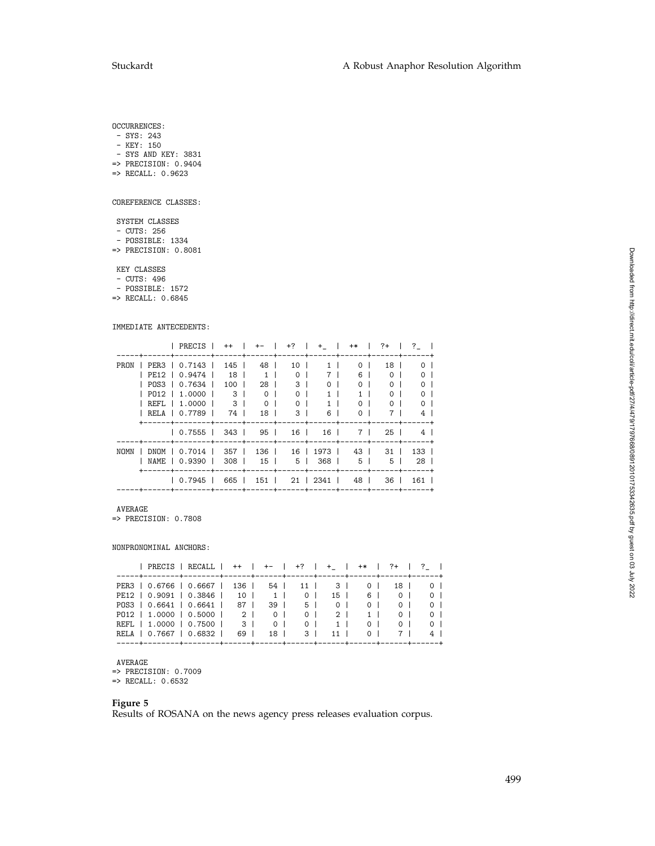OCCURRENCES: - SYS: 243

- KEY: 150 - SYS AND KEY: 3831
- => PRECISION: 0.9404
- => RECALL: 0.9623

COREFERENCE CLASSES:

SYSTEM CLASSES - CUTS: 256 - POSSIBLE: 1334 => PRECISION: 0.8081

KEY CLASSES - CUTS: 496 - POSSIBLE: 1572

=> RECALL: 0.6845

IMMEDIATE ANTECEDENTS:

|       |             | I PRECIS I    | $++$             | $+-$         | $+?$     | $+$       | $+*$     | $?+$            | ?        |
|-------|-------------|---------------|------------------|--------------|----------|-----------|----------|-----------------|----------|
| PRON  |             | PER3   0.7143 | 145              | 48           | 10       |           | $\Omega$ | 18              | ∩        |
|       |             | PE12   0.9474 | 18               | 1.           | $\Omega$ | 7         | 6        | 0               | $\Omega$ |
|       |             | POS3   0.7634 | 100              | 28           | 3        | ∩         | $\Omega$ | $\Omega$        | $\Omega$ |
|       | P012        | 1.0000        | 3                | $\Omega$     | $\Omega$ |           | 1.       | ∩               | $\Omega$ |
|       |             | REFL   1.0000 | 3                | $\Omega$     | $\Omega$ |           | $\Omega$ | 0               | $\Omega$ |
|       |             | RELA   0.7789 | 74               | 18           | 3        | 6         | ∩        |                 | 4        |
|       |             | 0.7555   343  |                  | -----+<br>95 | $16-1$   | $16-1$    | 7 I      | 25 <sub>1</sub> | 4        |
| NOMN. | <b>DNOM</b> | $0.7014$ I    | 357 <sup>1</sup> | 136          | 16 I     | 1973 l    | 43 I     | 31 I            | 133      |
|       |             | NAME   0.9390 | $308$            | $15-1$       | 5        | 368 l     | 5 I      | 5.              | 28       |
|       |             | l 0.7945 l    | 665              | 151 l        |          | 21   2341 | 48       | 36 l            | 161      |

#### AVERAGE

=> PRECISION: 0.7808

NONPRONOMINAL ANCHORS:

| PRECIS   RECALL   ++   +-   +?   +_   +*   ?+   ?_  |  |      |                            |                |           |                        |                |  |                |
|-----------------------------------------------------|--|------|----------------------------|----------------|-----------|------------------------|----------------|--|----------------|
| PER3   0.6766   0.6667   136   54   11   3   0   18 |  |      |                            |                |           |                        |                |  | 0 <sub>1</sub> |
| PE12   0.9091   0.3846   10   1   0                 |  |      |                            |                |           |                        | 15   6   0     |  | 0 <sup>1</sup> |
| POS3   0.6641   0.6641                              |  | 87 I | 39 L                       | 5              | $\circ$ 1 | 0 <sup>1</sup>         | $\circ$ 1      |  | 0 <sup>1</sup> |
| P012   1.0000   0.5000                              |  |      | $2 \mid$<br>0 <sup>1</sup> | 0 <sup>1</sup> | 2 L       | $1 \mid$               | $\Omega$       |  | $\Omega$       |
| REFL   1.0000   0.7500                              |  |      | $3 \mid 0 \mid$            |                |           | $0 \mid 1 \mid 0 \mid$ | 0 <sup>1</sup> |  | 0 <sup>1</sup> |
| RELA   0.7667   0.6832                              |  | 69 I | 18 I                       | $3 \mid$       | 11        | 0 <sup>1</sup>         | 7 I            |  | 4              |
|                                                     |  |      |                            |                |           |                        |                |  |                |

AVERAGE => PRECISION: 0.7009 => RECALL: 0.6532

## **Figure 5**

Results of ROSANA on the news agency press releases evaluation corpus.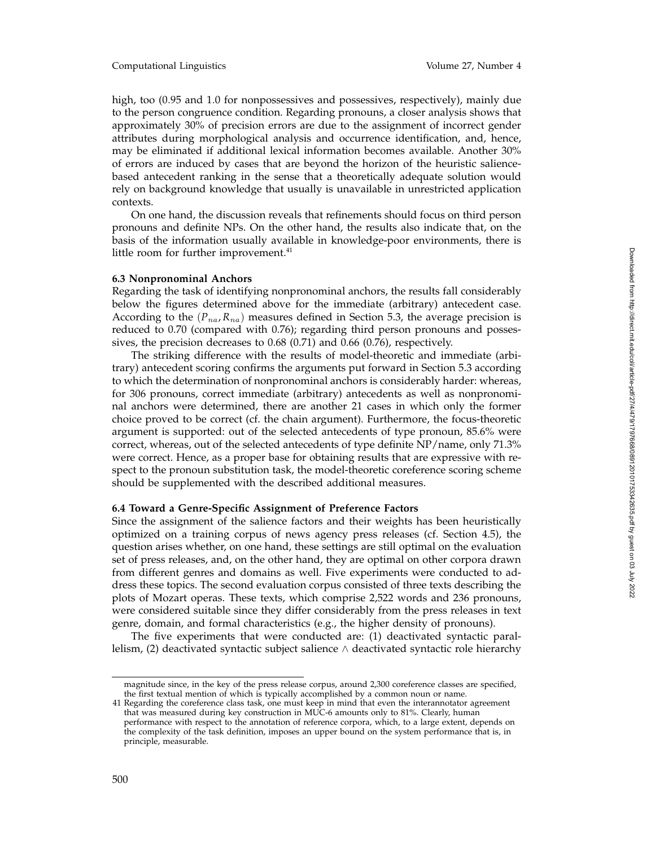high, too (0 *.*95 and 1 *.*0 for nonpossessives and possessives, respectively), mainly due to the person congruence condition. Regarding pronouns, a closer analysis shows that approximately 30% of precision errors are due to the assignment of incorrect gender attributes during morphological analysis and occurrence identification, and, hence, may be eliminated if additional lexical information becomes available. Another 30% of errors are induced by cases that are beyond the horizon of the heuristic saliencebased antecedent ranking in the sense that a theoretically adequate solution would rely on background knowledge that usually is unavailable in unrestricted application contexts.

On one hand, the discussion reveals that refinements should focus on third person pronouns and definite NPs. On the other hand, the results also indicate that, on the basis of the information usually available in knowledge-poor environments, there is little room for further improvement.<sup>41</sup>

#### **6.3 Nonpronominal Anchors**

Regarding the task of identifying nonpronominal anchors, the results fall considerably below the figures determined above for the immediate (arbitrary) antecedent case. According to the  $(P_{na}, R_{na})$  measures defined in Section 5.3, the average precision is reduced to 0.70 (compared with 0.76); regarding third person pronouns and possessives, the precision decreases to 0.68 (0.71) and 0.66 (0.76), respectively.

The striking difference with the results of model-theoretic and immediate (arbitrary) antecedent scoring confirms the arguments put forward in Section 5.3 according to which the determination of nonpronominal anchors is considerably harder: whereas, for 306 pronouns, correct immediate (arbitrary) antecedents as well as nonpronominal anchors were determined, there are another 21 cases in which only the former choice proved to be correct (cf. the chain argument). Furthermore, the focus-theoretic argument is supported: out of the selected antecedents of type pronoun, 85.6% were correct, whereas, out of the selected antecedents of type definite NP/name, only 71.3% were correct. Hence, as a proper base for obtaining results that are expressive with respect to the pronoun substitution task, the model-theoretic coreference scoring scheme should be supplemented with the described additional measures.

## **6.4 Toward a Genre-Specific Assignment of Preference Factors**

Since the assignment of the salience factors and their weights has been heuristically optimized on a training corpus of news agency press releases (cf. Section 4.5), the question arises whether, on one hand, these settings are still optimal on the evaluation set of press releases, and, on the other hand, they are optimal on other corpora drawn from different genres and domains as well. Five experiments were conducted to address these topics. The second evaluation corpus consisted of three texts describing the plots of Mozart operas. These texts, which comprise 2,522 words and 236 pronouns, were considered suitable since they differ considerably from the press releases in text genre, domain, and formal characteristics (e.g., the higher density of pronouns).

The five experiments that were conducted are: (1) deactivated syntactic parallelism,  $(2)$  deactivated syntactic subject salience  $\wedge$  deactivated syntactic role hierarchy

magnitude since, in the key of the press release corpus, around 2,300 coreference classes are specified, the first textual mention of which is typically accomplished by a common noun or name.

<sup>41</sup> Regarding the coreference class task, one must keep in mind that even the interannotator agreement that was measured during key construction in MUC-6 amounts only to 81%. Clearly, human performance with respect to the annotation of reference corpora, which, to a large extent, depends on the complexity of the task definition, imposes an upper bound on the system performance that is, in principle, measurable.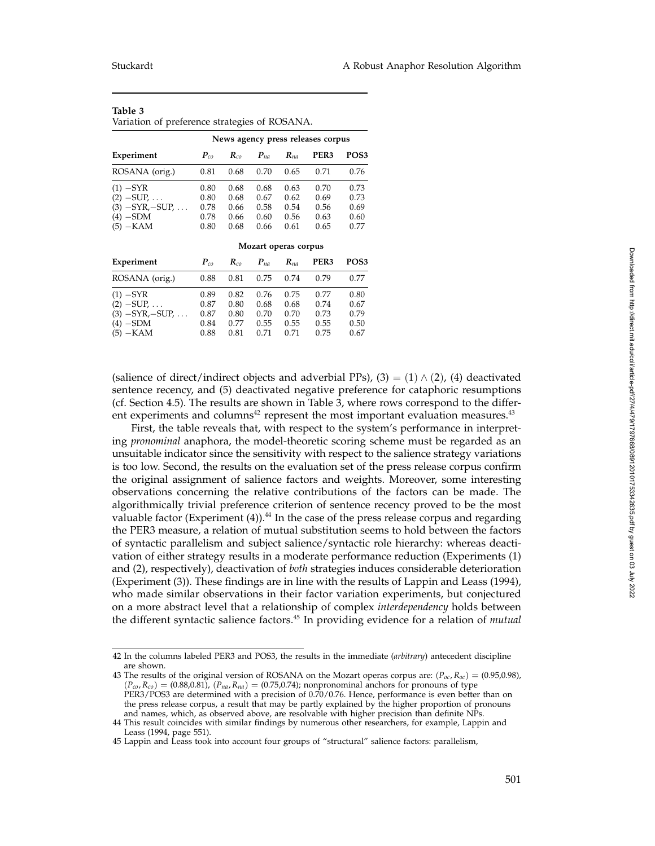**Table 3**

| Variation of preference strategies of ROSANA. |                                   |          |                      |          |      |      |  |  |  |  |  |
|-----------------------------------------------|-----------------------------------|----------|----------------------|----------|------|------|--|--|--|--|--|
|                                               | News agency press releases corpus |          |                      |          |      |      |  |  |  |  |  |
| Experiment                                    | $P_{co}$                          | $R_{co}$ | $P_{na}$             | $R_{na}$ | PER3 | POS3 |  |  |  |  |  |
| ROSANA (orig.)                                | 0.81                              | 0.68     | 0.70                 | 0.65     | 0.71 | 0.76 |  |  |  |  |  |
| $(1)$ $-SYR$                                  | 0.80                              | 0.68     | 0.68                 | 0.63     | 0.70 | 0.73 |  |  |  |  |  |
| $(2)$ $-SUP$ , $\ldots$                       | 0.80                              | 0.68     | 0.67                 | 0.62     | 0.69 | 0.73 |  |  |  |  |  |
| $(3)$ $-SYR$ , $-SUP$ , $\ldots$              | 0.78                              | 0.66     | 0.58                 | 0.54     | 0.56 | 0.69 |  |  |  |  |  |
| $(4)$ -SDM                                    | 0.78                              | 0.66     | 0.60                 | 0.56     | 0.63 | 0.60 |  |  |  |  |  |
| $(5)$ -KAM                                    | 0.80                              | 0.68     | 0.66                 | 0.61     | 0.65 | 0.77 |  |  |  |  |  |
|                                               |                                   |          | Mozart operas corpus |          |      |      |  |  |  |  |  |

|                                  |          |          |          | $1.202811$ $0.6180$ $0.016$ $0.00$ |                  |                  |
|----------------------------------|----------|----------|----------|------------------------------------|------------------|------------------|
| Experiment                       | $P_{co}$ | $R_{co}$ | $P_{na}$ | $R_{na}$                           | PER <sub>3</sub> | POS <sub>3</sub> |
| ROSANA (orig.)                   | 0.88     | 0.81     | 0.75     | 0.74                               | 0.79             | 0.77             |
| $(1)$ $-SYR$                     | 0.89     | 0.82     | 0.76     | 0.75                               | 0.77             | 0.80             |
| $(2) - SUP, \ldots$              | 0.87     | 0.80     | 0.68     | 0.68                               | 0.74             | 0.67             |
| $(3)$ $-SYR$ , $-SUP$ , $\ldots$ | 0.87     | 0.80     | 0.70     | 0.70                               | 0.73             | 0.79             |
| $(4)$ -SDM                       | 0.84     | 0.77     | 0.55     | 0.55                               | 0.55             | 0.50             |
| $(5)$ -KAM                       | 0.88     | 0.81     | 0.71     | 0.71                               | 0.75             | 0.67             |
|                                  |          |          |          |                                    |                  |                  |

(salience of direct/indirect objects and adverbial PPs),  $(3) = (1) \wedge (2)$ ,  $(4)$  deactivated sentence recency, and (5) deactivated negative preference for cataphoric resumptions (cf. Section 4.5). The results are shown in Table 3, where rows correspond to the different experiments and columns<sup>42</sup> represent the most important evaluation measures. $43$ 

First, the table reveals that, with respect to the system's performance in interpreting *pronominal* anaphora, the model-theoretic scoring scheme must be regarded as an unsuitable indicator since the sensitivity with respect to the salience strategy variations is too low. Second, the results on the evaluation set of the press release corpus confirm the original assignment of salience factors and weights. Moreover, some interesting observations concerning the relative contributions of the factors can be made. The algorithmically trivial preference criterion of sentence recency proved to be the most valuable factor (Experiment  $(4)$ ).<sup>44</sup> In the case of the press release corpus and regarding the PER3 measure, a relation of mutual substitution seems to hold between the factors of syntactic parallelism and subject salience/syntactic role hierarchy: whereas deactivation of either strategy results in a moderate performance reduction (Experiments (1) and (2), respectively), deactivation of *both* strategies induces considerable deterioration (Experiment (3)). These findings are in line with the results of Lappin and Leass (1994), who made similar observations in their factor variation experiments, but conjectured on a more abstract level that a relationship of complex *interdependency* holds between the different syntactic salience factors.45 In providing evidence for a relation of *mutual*

<sup>42</sup> In the columns labeled PER3 and POS3, the results in the immediate (*arbitrary*) antecedent discipline are shown.

<sup>43</sup> The results of the original version of ROSANA on the Mozart operas corpus are:  $(P_{oc}, R_{oc}) = (0.95, 0.98)$ ,  $(P_{co}, R_{co}) = (0.88, 0.81), (P_{na}, R_{na}) = (0.75, 0.74)$ ; nonpronominal anchors for pronouns of type PER3/POS3 are determined with a precision of 0.70/0.76. Hence, performance is even better than on the press release corpus, a result that may be partly explained by the higher proportion of pronouns and names, which, as observed above, are resolvable with higher precision than definite NPs.

<sup>44</sup> This result coincides with similar findings by numerous other researchers, for example, Lappin and Leass (1994, page 551).

<sup>45</sup> Lappin and Leass took into account four groups of "structural" salience factors: parallelism,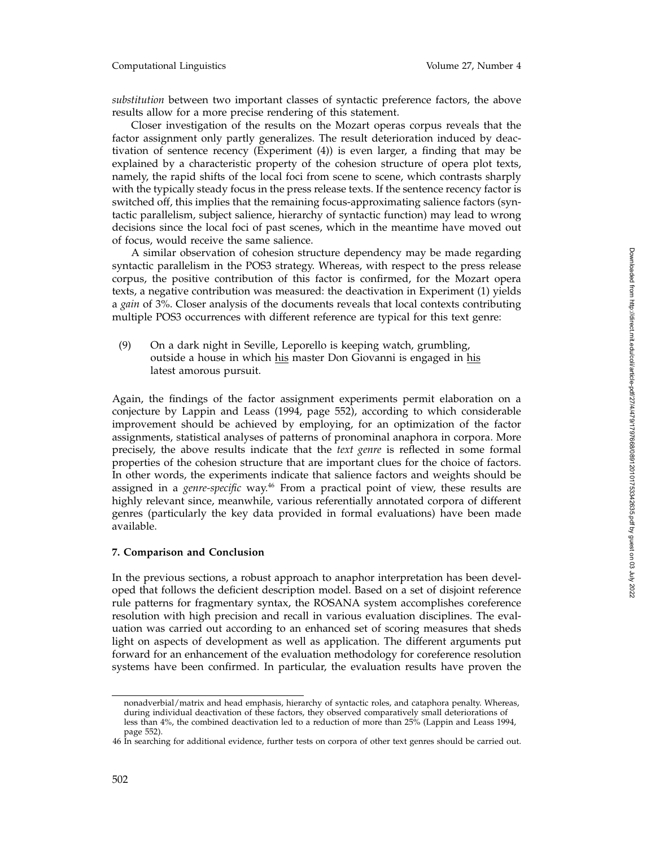*substitution* between two important classes of syntactic preference factors, the above results allow for a more precise rendering of this statement.

Closer investigation of the results on the Mozart operas corpus reveals that the factor assignment only partly generalizes. The result deterioration induced by deactivation of sentence recency (Experiment (4)) is even larger, a finding that may be explained by a characteristic property of the cohesion structure of opera plot texts, namely, the rapid shifts of the local foci from scene to scene, which contrasts sharply with the typically steady focus in the press release texts. If the sentence recency factor is switched off, this implies that the remaining focus-approximating salience factors (syntactic parallelism, subject salience, hierarchy of syntactic function) may lead to wrong decisions since the local foci of past scenes, which in the meantime have moved out of focus, would receive the same salience.

A similar observation of cohesion structure dependency may be made regarding syntactic parallelism in the POS3 strategy. Whereas, with respect to the press release corpus, the positive contribution of this factor is confirmed, for the Mozart opera texts, a negative contribution was measured: the deactivation in Experiment (1) yields a *gain* of 3%. Closer analysis of the documents reveals that local contexts contributing multiple POS3 occurrences with different reference are typical for this text genre:

(9) On a dark night in Seville, Leporello is keeping watch, grumbling, outside a house in which his master Don Giovanni is engaged in his latest amorous pursuit.

Again, the findings of the factor assignment experiments permit elaboration on a conjecture by Lappin and Leass (1994, page 552), according to which considerable improvement should be achieved by employing, for an optimization of the factor assignments, statistical analyses of patterns of pronominal anaphora in corpora. More precisely, the above results indicate that the *text genre* is reflected in some formal properties of the cohesion structure that are important clues for the choice of factors. In other words, the experiments indicate that salience factors and weights should be assigned in a *genre-specific* way.46 From a practical point of view, these results are highly relevant since, meanwhile, various referentially annotated corpora of different genres (particularly the key data provided in formal evaluations) have been made available.

## **7. Comparison and Conclusion**

In the previous sections, a robust approach to anaphor interpretation has been developed that follows the deficient description model. Based on a set of disjoint reference rule patterns for fragmentary syntax, the ROSANA system accomplishes coreference resolution with high precision and recall in various evaluation disciplines. The evaluation was carried out according to an enhanced set of scoring measures that sheds light on aspects of development as well as application. The different arguments put forward for an enhancement of the evaluation methodology for coreference resolution systems have been confirmed. In particular, the evaluation results have proven the

nonadverbial/matrix and head emphasis, hierarchy of syntactic roles, and cataphora penalty. Whereas, during individual deactivation of these factors, they observed comparatively small deteriorations of less than 4%, the combined deactivation led to a reduction of more than 25% (Lappin and Leass 1994, page 552).

<sup>46</sup> In searching for additional evidence, further tests on corpora of other text genres should be carried out.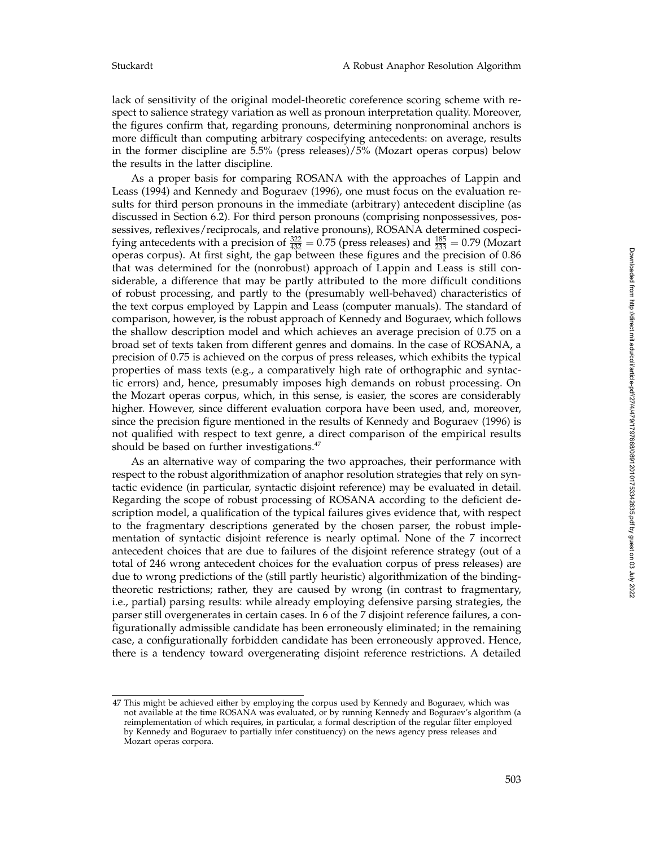lack of sensitivity of the original model-theoretic coreference scoring scheme with respect to salience strategy variation as well as pronoun interpretation quality. Moreover, the figures confirm that, regarding pronouns, determining nonpronominal anchors is more difficult than computing arbitrary cospecifying antecedents: on average, results in the former discipline are 5.5% (press releases)/5% (Mozart operas corpus) below the results in the latter discipline.

As a proper basis for comparing ROSANA with the approaches of Lappin and Leass (1994) and Kennedy and Boguraev (1996), one must focus on the evaluation results for third person pronouns in the immediate (arbitrary) antecedent discipline (as discussed in Section 6.2). For third person pronouns (comprising nonpossessives, possessives, reflexives/reciprocals, and relative pronouns), ROSANA determined cospecifying antecedents with a precision of  $\frac{322}{432} = 0.75$  (press releases) and  $\frac{185}{233} = 0.79$  (Mozart operas corpus). At first sight, the gap between these figures and the precision of 0 *.*86 that was determined for the (nonrobust) approach of Lappin and Leass is still considerable, a difference that may be partly attributed to the more difficult conditions of robust processing, and partly to the (presumably well-behaved) characteristics of the text corpus employed by Lappin and Leass (computer manuals). The standard of comparison, however, is the robust approach of Kennedy and Boguraev, which follows the shallow description model and which achieves an average precision of 0 *.*75 on a broad set of texts taken from different genres and domains. In the case of ROSANA, a precision of 0 *.*75 is achieved on the corpus of press releases, which exhibits the typical properties of mass texts (e.g., a comparatively high rate of orthographic and syntactic errors) and, hence, presumably imposes high demands on robust processing. On the Mozart operas corpus, which, in this sense, is easier, the scores are considerably higher. However, since different evaluation corpora have been used, and, moreover, since the precision figure mentioned in the results of Kennedy and Boguraev (1996) is not qualified with respect to text genre, a direct comparison of the empirical results should be based on further investigations.<sup>47</sup>

As an alternative way of comparing the two approaches, their performance with respect to the robust algorithmization of anaphor resolution strategies that rely on syntactic evidence (in particular, syntactic disjoint reference) may be evaluated in detail. Regarding the scope of robust processing of ROSANA according to the deficient description model, a qualification of the typical failures gives evidence that, with respect to the fragmentary descriptions generated by the chosen parser, the robust implementation of syntactic disjoint reference is nearly optimal. None of the 7 incorrect antecedent choices that are due to failures of the disjoint reference strategy (out of a total of 246 wrong antecedent choices for the evaluation corpus of press releases) are due to wrong predictions of the (still partly heuristic) algorithmization of the bindingtheoretic restrictions; rather, they are caused by wrong (in contrast to fragmentary, i.e., partial) parsing results: while already employing defensive parsing strategies, the parser still overgenerates in certain cases. In 6 of the 7 disjoint reference failures, a configurationally admissible candidate has been erroneously eliminated; in the remaining case, a configurationally forbidden candidate has been erroneously approved. Hence, there is a tendency toward overgenerating disjoint reference restrictions. A detailed

<sup>47</sup> This might be achieved either by employing the corpus used by Kennedy and Boguraev, which was not available at the time ROSANA was evaluated, or by running Kennedy and Boguraev's algorithm (a reimplementation of which requires, in particular, a formal description of the regular filter employed by Kennedy and Boguraev to partially infer constituency) on the news agency press releases and Mozart operas corpora.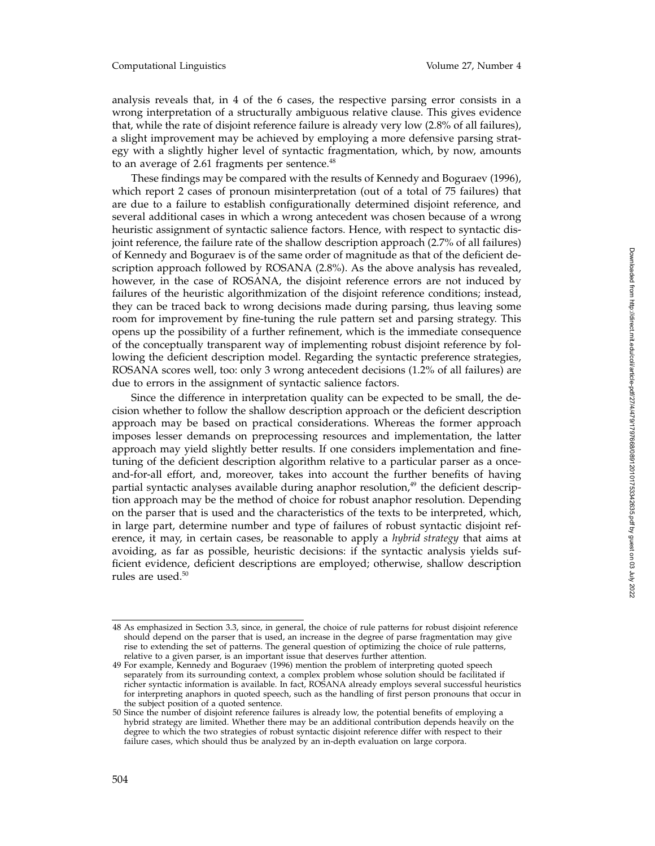analysis reveals that, in 4 of the 6 cases, the respective parsing error consists in a wrong interpretation of a structurally ambiguous relative clause. This gives evidence that, while the rate of disjoint reference failure is already very low (2.8% of all failures), a slight improvement may be achieved by employing a more defensive parsing strategy with a slightly higher level of syntactic fragmentation, which, by now, amounts to an average of 2.61 fragments per sentence. $48$ 

These findings may be compared with the results of Kennedy and Boguraev (1996), which report 2 cases of pronoun misinterpretation (out of a total of 75 failures) that are due to a failure to establish configurationally determined disjoint reference, and several additional cases in which a wrong antecedent was chosen because of a wrong heuristic assignment of syntactic salience factors. Hence, with respect to syntactic disjoint reference, the failure rate of the shallow description approach (2.7% of all failures) of Kennedy and Boguraev is of the same order of magnitude as that of the deficient description approach followed by ROSANA (2.8%). As the above analysis has revealed, however, in the case of ROSANA, the disjoint reference errors are not induced by failures of the heuristic algorithmization of the disjoint reference conditions; instead, they can be traced back to wrong decisions made during parsing, thus leaving some room for improvement by fine-tuning the rule pattern set and parsing strategy. This opens up the possibility of a further refinement, which is the immediate consequence of the conceptually transparent way of implementing robust disjoint reference by following the deficient description model. Regarding the syntactic preference strategies, ROSANA scores well, too: only 3 wrong antecedent decisions (1.2% of all failures) are due to errors in the assignment of syntactic salience factors.

Since the difference in interpretation quality can be expected to be small, the decision whether to follow the shallow description approach or the deficient description approach may be based on practical considerations. Whereas the former approach imposes lesser demands on preprocessing resources and implementation, the latter approach may yield slightly better results. If one considers implementation and finetuning of the deficient description algorithm relative to a particular parser as a onceand-for-all effort, and, moreover, takes into account the further benefits of having partial syntactic analyses available during anaphor resolution,<sup>49</sup> the deficient description approach may be the method of choice for robust anaphor resolution. Depending on the parser that is used and the characteristics of the texts to be interpreted, which, in large part, determine number and type of failures of robust syntactic disjoint reference, it may, in certain cases, be reasonable to apply a *hybrid strategy* that aims at avoiding, as far as possible, heuristic decisions: if the syntactic analysis yields sufficient evidence, deficient descriptions are employed; otherwise, shallow description rules are used.<sup>50</sup>

<sup>48</sup> As emphasized in Section 3.3, since, in general, the choice of rule patterns for robust disjoint reference should depend on the parser that is used, an increase in the degree of parse fragmentation may give rise to extending the set of patterns. The general question of optimizing the choice of rule patterns, relative to a given parser, is an important issue that deserves further attention.

<sup>49</sup> For example, Kennedy and Boguraev (1996) mention the problem of interpreting quoted speech separately from its surrounding context, a complex problem whose solution should be facilitated if richer syntactic information is available. In fact, ROSANA already employs several successful heuristics for interpreting anaphors in quoted speech, such as the handling of first person pronouns that occur in the subject position of a quoted sentence.

<sup>50</sup> Since the number of disjoint reference failures is already low, the potential benefits of employing a hybrid strategy are limited. Whether there may be an additional contribution depends heavily on the degree to which the two strategies of robust syntactic disjoint reference differ with respect to their failure cases, which should thus be analyzed by an in-depth evaluation on large corpora.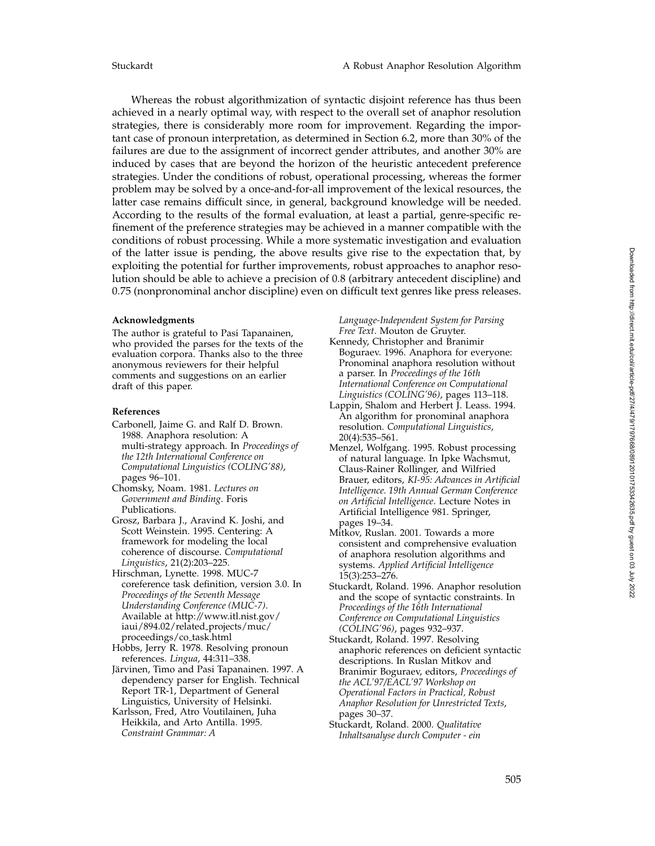Whereas the robust algorithmization of syntactic disjoint reference has thus been achieved in a nearly optimal way, with respect to the overall set of anaphor resolution strategies, there is considerably more room for improvement. Regarding the important case of pronoun interpretation, as determined in Section 6.2, more than 30% of the failures are due to the assignment of incorrect gender attributes, and another 30% are induced by cases that are beyond the horizon of the heuristic antecedent preference strategies. Under the conditions of robust, operational processing, whereas the former problem may be solved by a once-and-for-all improvement of the lexical resources, the latter case remains difficult since, in general, background knowledge will be needed. According to the results of the formal evaluation, at least a partial, genre-specific refinement of the preference strategies may be achieved in a manner compatible with the conditions of robust processing. While a more systematic investigation and evaluation of the latter issue is pending, the above results give rise to the expectation that, by exploiting the potential for further improvements, robust approaches to anaphor resolution should be able to achieve a precision of 0*.*8 (arbitrary antecedent discipline) and 0*.*75 (nonpronominal anchor discipline) even on difficult text genres like press releases.

#### **Acknowledgments**

The author is grateful to Pasi Tapanainen, who provided the parses for the texts of the evaluation corpora. Thanks also to the three anonymous reviewers for their helpful comments and suggestions on an earlier draft of this paper.

#### **References**

- Carbonell, Jaime G. and Ralf D. Brown. 1988. Anaphora resolution: A multi-strategy approach. In *Proceedings of the 12th International Conference on Computational Linguistics (COLING'88)* , pages 96–101.
- Chomsky, Noam. 1981. *Lectures on Government and Binding*. Foris Publications.
- Grosz, Barbara J., Aravind K. Joshi, and Scott Weinstein. 1995. Centering: A framework for modeling the local coherence of discourse. *Computational Linguistics*, 21(2):203–225.
- Hirschman, Lynette. 1998. MUC-7 coreference task definition, version 3.0. In *Proceedings of the Seventh Message Understanding Conference (MUC-7)* . Available at http://www.itl.nist.gov/ iaui/894.02/related projects/muc/ proceedings/co task.html
- Hobbs, Jerry R. 1978. Resolving pronoun references. *Lingua*, 44:311–338.
- Järvinen, Timo and Pasi Tapanainen. 1997. A dependency parser for English. Technical Report TR-1, Department of General Linguistics, University of Helsinki.
- Karlsson, Fred, Atro Voutilainen, Juha Heikkila, and Arto Antilla. 1995. *Constraint Grammar: A*

*Language-Independent System for Parsing Free Text*. Mouton de Gruyter.

- Kennedy, Christopher and Branimir Boguraev. 1996. Anaphora for everyone: Pronominal anaphora resolution without a parser. In *Proceedings of the 16th International Conference on Computational Linguistics (COLING'96)*, pages 113–118.
- Lappin, Shalom and Herbert J. Leass. 1994. An algorithm for pronominal anaphora resolution. *Computational Linguistics* , 20(4):535–561.
- Menzel, Wolfgang. 1995. Robust processing of natural language. In Ipke Wachsmut, Claus-Rainer Rollinger, and Wilfried Brauer, editors, *KI-95: Advances in Artificial Intelligence. 19th Annual German Conference on Artificial Intelligence*. Lecture Notes in Artificial Intelligence 981. Springer, pages 19–34.
- Mitkov, Ruslan. 2001. Towards a more consistent and comprehensive evaluation of anaphora resolution algorithms and systems. *Applied Artificial Intelligence* 15(3):253–276.
- Stuckardt, Roland. 1996. Anaphor resolution and the scope of syntactic constraints. In *Proceedings of the 16th International Conference on Computational Linguistics (COLING'96)*, pages 932–937.
- Stuckardt, Roland. 1997. Resolving anaphoric references on deficient syntactic descriptions. In Ruslan Mitkov and Branimir Boguraev, editors, *Proceedings of the ACL'97/EACL'97 Workshop on Operational Factors in Practical, Robust Anaphor Resolution for Unrestricted Texts* , pages 30–37.
- Stuckardt, Roland. 2000. *Qualitative Inhaltsanalyse durch Computer - ein*